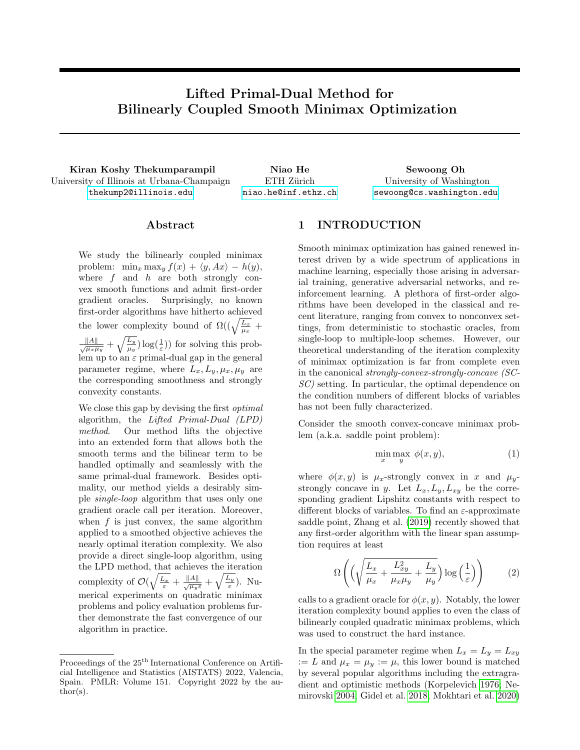# Lifted Primal-Dual Method for Bilinearly Coupled Smooth Minimax Optimization

Kiran Koshy Thekumparampil Niao He Sewoong Oh University of Illinois at Urbana-Champaign <thekump2@illinois.edu>

ETH Zürich <niao.he@inf.ethz.ch>

University of Washington <sewoong@cs.washington.edu>

# ${\rm Abstract}$

We study the bilinearly coupled minimax problem:  $\min_x \max_y f(x) + \langle y, Ax \rangle - h(y)$ , where  $f$  and  $h$  are both strongly convex smooth functions and admit first-order gradient oracles. Surprisingly, no known first-order algorithms have hitherto achieved the lower complexity bound of  $\Omega((\sqrt{\frac{L_x}{\mu_x}} +$ 

 $\frac{\|A\|}{\sqrt{\mu_x\mu_y}} + \sqrt{\frac{L_y}{\mu_y}}\log(\frac{1}{\varepsilon})$  for solving this problem up to an  $\varepsilon$  primal-dual gap in the general parameter regime, where  $L_x, L_y, \mu_x, \mu_y$  are the corresponding smoothness and strongly convexity constants.

We close this gap by devising the first *optimal* algorithm, the Lifted Primal-Dual (LPD) method. Our method lifts the objective into an extended form that allows both the smooth terms and the bilinear term to be handled optimally and seamlessly with the same primal-dual framework. Besides optimality, our method yields a desirably simple single-loop algorithm that uses only one gradient oracle call per iteration. Moreover, when  $f$  is just convex, the same algorithm applied to a smoothed objective achieves the nearly optimal iteration complexity. We also provide a direct single-loop algorithm, using the LPD method, that achieves the iteration complexity of  $\mathcal{O}(\sqrt{\frac{L_x}{\varepsilon}} + \frac{\|A\|}{\sqrt{\mu_y \varepsilon}} + \sqrt{\frac{L_y}{\varepsilon}})$ . Numerical experiments on quadratic minimax problems and policy evaluation problems further demonstrate the fast convergence of our algorithm in practice.

# <span id="page-0-2"></span>1 INTRODUCTION

Smooth minimax optimization has gained renewed interest driven by a wide spectrum of applications in machine learning, especially those arising in adversarial training, generative adversarial networks, and reinforcement learning. A plethora of first-order algorithms have been developed in the classical and recent literature, ranging from convex to nonconvex settings, from deterministic to stochastic oracles, from single-loop to multiple-loop schemes. However, our theoretical understanding of the iteration complexity of minimax optimization is far from complete even in the canonical strongly-convex-strongly-concave (SC-SC) setting. In particular, the optimal dependence on the condition numbers of different blocks of variables has not been fully characterized.

Consider the smooth convex-concave minimax problem (a.k.a. saddle point problem):

<span id="page-0-1"></span>
$$
\min_{x} \max_{y} \phi(x, y), \tag{1}
$$

where  $\phi(x, y)$  is  $\mu_x$ -strongly convex in x and  $\mu_y$ strongly concave in y. Let  $L_x, L_y, L_{xy}$  be the corresponding gradient Lipshitz constants with respect to different blocks of variables. To find an  $\varepsilon$ -approximate saddle point, Zhang et al. [\(2019\)](#page-10-0) recently showed that any first-order algorithm with the linear span assumption requires at least

<span id="page-0-0"></span>
$$
\Omega\left( \left( \sqrt{\frac{L_x}{\mu_x} + \frac{L_{xy}^2}{\mu_x \mu_y} + \frac{L_y}{\mu_y}} \right) \log\left(\frac{1}{\varepsilon}\right) \right) \tag{2}
$$

calls to a gradient oracle for  $\phi(x, y)$ . Notably, the lower iteration complexity bound applies to even the class of bilinearly coupled quadratic minimax problems, which was used to construct the hard instance.

In the special parameter regime when  $L_x = L_y = L_{xy}$ := L and  $\mu_x = \mu_y := \mu$ , this lower bound is matched by several popular algorithms including the extragradient and optimistic methods (Korpelevich [1976;](#page-9-0) Nemirovski [2004;](#page-9-1) Gidel et al. [2018;](#page-10-1) Mokhtari et al. [2020\)](#page-10-2)

Proceedings of the  $25^{\text{th}}$  International Conference on Artificial Intelligence and Statistics (AISTATS) 2022, Valencia, Spain. PMLR: Volume 151. Copyright 2022 by the author(s).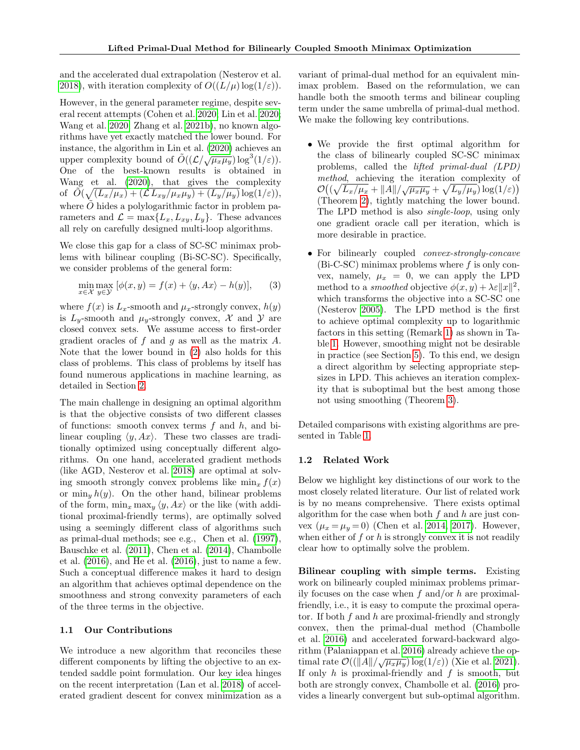and the accelerated dual extrapolation (Nesterov et al. [2018\)](#page-10-3), with iteration complexity of  $O((L/\mu) \log(1/\varepsilon)).$ 

However, in the general parameter regime, despite several recent attempts (Cohen et al. [2020;](#page-10-4) Lin et al. [2020;](#page-10-5) Wang et al. [2020;](#page-10-6) Zhang et al. [2021b\)](#page-11-0), no known algorithms have yet exactly matched the lower bound. For instance, the algorithm in Lin et al. [\(2020\)](#page-10-5) achieves an mstance, the algorithm in Em et al. (2020) achieves an<br>upper complexity bound of  $\tilde{O}((\mathcal{L}/\sqrt{\mu_x\mu_y})\log^3(1/\varepsilon)).$ One of the best-known results is obtained in Wang et al. [\(2020\)](#page-10-6), that gives the complexity of  $\widetilde{O}(\sqrt{(L_x/\mu_x)+(L_x/\mu_x\mu_y)+(L_y/\mu_y)}\log(1/\varepsilon)),$ where  $\ddot{O}$  hides a polylogarithmic factor in problem parameters and  $\mathcal{L} = \max\{L_x, L_{xy}, L_y\}$ . These advances all rely on carefully designed multi-loop algorithms.

We close this gap for a class of SC-SC minimax problems with bilinear coupling (Bi-SC-SC). Specifically, we consider problems of the general form:

<span id="page-1-0"></span>
$$
\min_{x \in \mathcal{X}} \max_{y \in \mathcal{Y}} [\phi(x, y) = f(x) + \langle y, Ax \rangle - h(y)], \qquad (3)
$$

where  $f(x)$  is  $L_x$ -smooth and  $\mu_x$ -strongly convex,  $h(y)$ is  $L_y$ -smooth and  $\mu_y$ -strongly convex, X and Y are closed convex sets. We assume access to first-order gradient oracles of  $f$  and  $g$  as well as the matrix  $A$ . Note that the lower bound in [\(2\)](#page-0-0) also holds for this class of problems. This class of problems by itself has found numerous applications in machine learning, as detailed in Section [2.](#page-3-0)

The main challenge in designing an optimal algorithm is that the objective consists of two different classes of functions: smooth convex terms  $f$  and  $h$ , and bilinear coupling  $\langle y, Ax \rangle$ . These two classes are traditionally optimized using conceptually different algorithms. On one hand, accelerated gradient methods (like AGD, Nesterov et al. [2018\)](#page-10-3) are optimal at solving smooth strongly convex problems like  $\min_x f(x)$ or  $\min_{y} h(y)$ . On the other hand, bilinear problems of the form,  $\min_x \max_y \langle y, Ax \rangle$  or the like (with additional proximal-friendly terms), are optimally solved using a seemingly different class of algorithms such as primal-dual methods; see e.g., Chen et al. [\(1997\)](#page-9-2), Bauschke et al. [\(2011\)](#page-9-3), Chen et al. [\(2014\)](#page-9-4), Chambolle et al. [\(2016\)](#page-9-5), and He et al. [\(2016\)](#page-9-6), just to name a few. Such a conceptual difference makes it hard to design an algorithm that achieves optimal dependence on the smoothness and strong convexity parameters of each of the three terms in the objective.

### 1.1 Our Contributions

We introduce a new algorithm that reconciles these different components by lifting the objective to an extended saddle point formulation. Our key idea hinges on the recent interpretation (Lan et al. [2018\)](#page-10-7) of accelerated gradient descent for convex minimization as a variant of primal-dual method for an equivalent minimax problem. Based on the reformulation, we can handle both the smooth terms and bilinear coupling term under the same umbrella of primal-dual method. We make the following key contributions.

- We provide the first optimal algorithm for the class of bilinearly coupled SC-SC minimax problems, called the lifted primal-dual (LPD) method, achieving the iteration complexity of  $\mathcal{O}((\sqrt{L_x/\mu_x} + ||A||/\sqrt{\mu_x\mu_y} + \sqrt{L_y/\mu_y})\log(1/\varepsilon))$ (Theorem [2\)](#page-6-0), tightly matching the lower bound. The LPD method is also single-loop, using only one gradient oracle call per iteration, which is more desirable in practice.
- For bilinearly coupled convex-strongly-concave  $(Bi-C-SC)$  minimax problems where f is only convex, namely,  $\mu_x = 0$ , we can apply the LPD method to a *smoothed* objective  $\phi(x, y) + \lambda \varepsilon ||x||^2$ , which transforms the objective into a SC-SC one (Nesterov [2005\)](#page-9-7). The LPD method is the first to achieve optimal complexity up to logarithmic factors in this setting (Remark [1\)](#page-7-0) as shown in Table [1.](#page-2-0) However, smoothing might not be desirable in practice (see Section [5\)](#page-6-1). To this end, we design a direct algorithm by selecting appropriate stepsizes in LPD. This achieves an iteration complexity that is suboptimal but the best among those not using smoothing (Theorem [3\)](#page-7-1).

Detailed comparisons with existing algorithms are presented in Table [1.](#page-2-0)

### 1.2 Related Work

Below we highlight key distinctions of our work to the most closely related literature. Our list of related work is by no means comprehensive. There exists optimal algorithm for the case when both  $f$  and  $h$  are just convex  $(\mu_x = \mu_y = 0)$  (Chen et al. [2014,](#page-9-4) [2017\)](#page-10-8). However, when either of  $f$  or  $h$  is strongly convex it is not readily clear how to optimally solve the problem.

Bilinear coupling with simple terms. Existing work on bilinearly coupled minimax problems primarily focuses on the case when  $f$  and/or  $h$  are proximalfriendly, i.e., it is easy to compute the proximal operator. If both  $f$  and  $h$  are proximal-friendly and strongly convex, then the primal-dual method (Chambolle et al. [2016\)](#page-9-5) and accelerated forward-backward algorithm (Palaniappan et al. [2016\)](#page-9-8) already achieve the optimal rate  $\mathcal{O}((\Vert A \Vert / \sqrt{\mu_x \mu_y}) \log(1/\varepsilon))$  (Xie et al. [2021\)](#page-11-1). If only  $h$  is proximal-friendly and  $f$  is smooth, but both are strongly convex, Chambolle et al. [\(2016\)](#page-9-5) provides a linearly convergent but sub-optimal algorithm.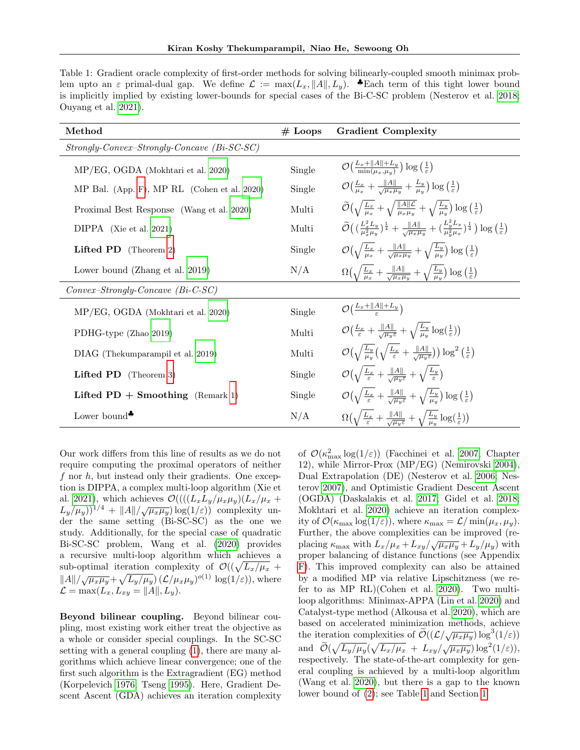<span id="page-2-0"></span>Table 1: Gradient oracle complexity of first-order methods for solving bilinearly-coupled smooth minimax problem upto an  $\varepsilon$  primal-dual gap. We define  $\mathcal{L} := \max(L_x, ||A||, L_y)$ .  $\bullet$  Each term of this tight lower bound is implicitly implied by existing lower-bounds for special cases of the Bi-C-SC problem (Nesterov et al. [2018;](#page-10-3) Ouyang et al. [2021\)](#page-11-2).

| Method                                       | $#$ Loops | <b>Gradient Complexity</b>                                                                                                                                                                                                                   |
|----------------------------------------------|-----------|----------------------------------------------------------------------------------------------------------------------------------------------------------------------------------------------------------------------------------------------|
| $Strongly-Convex-Strongly-Concave(Bi-SC-SC)$ |           |                                                                                                                                                                                                                                              |
| MP/EG, OGDA (Mokhtari et al. 2020)           | Single    | $\mathcal{O}\left(\frac{L_x +   A   + L_y}{\min(L_x, L_y)}\right) \log\left(\frac{1}{\varepsilon}\right)$                                                                                                                                    |
| MP Bal. (App. F), MP RL (Cohen et al. 2020)  | Single    | $\mathcal{O}\left(\frac{L_x}{\mu_x} + \frac{\ A\ }{\sqrt{\mu_x \mu_y}} + \frac{L_y}{\mu_y}\right) \log\left(\frac{1}{\varepsilon}\right)$                                                                                                    |
| Proximal Best Response (Wang et al. 2020)    | Multi     | $\widetilde{\mathcal{O}}\left(\sqrt{\frac{L_x}{\mu_x}} + \sqrt{\frac{\ A\  \mathcal{L}}{\mu_x \mu_y}} + \sqrt{\frac{L_y}{\mu_y}}\right) \log\left(\frac{1}{\varepsilon}\right)$                                                              |
| $DIPPA$ (Xie et al. 2021)                    | Multi     | $\widetilde{\mathcal{O}}\left(\left(\frac{L_x^2 L_y}{n^2 u_{\omega}}\right)^{\frac{1}{4}} + \frac{\ A\ }{\sqrt{u_{\tau} u_{\omega}}} + \left(\frac{L_y^2 L_x}{n_x^2 u_x}\right)^{\frac{1}{4}}\right) \log\left(\frac{1}{\varepsilon}\right)$ |
| Lifted PD (Theorem 2)                        | Single    | $\mathcal{O}\left(\sqrt{\frac{L_x}{\mu_x}} + \frac{\ A\ }{\sqrt{\mu_x \mu_y}} + \sqrt{\frac{L_y}{\mu_y}}\right) \log\left(\frac{1}{\varepsilon}\right)$                                                                                      |
| Lower bound (Zhang et al. 2019)              | N/A       | $\Omega\left(\sqrt{\frac{L_x}{\mu_x}} + \frac{\ A\ }{\sqrt{\mu_x \mu_y}} + \sqrt{\frac{L_y}{\mu_y}}\right) \log\left(\frac{1}{\varepsilon}\right)$                                                                                           |
| $Convex-Strongly-Concave$ (Bi-C-SC)          |           |                                                                                                                                                                                                                                              |
| MP/EG, OGDA (Mokhtari et al. 2020)           | Single    | $\mathcal{O}(\frac{L_x +   A   + L_y}{2})$                                                                                                                                                                                                   |
| PDHG-type (Zhao 2019)                        | Multi     | $\mathcal{O}\left(\frac{L_x}{\varepsilon} + \frac{\ A\ }{\sqrt{\mu_w \varepsilon}} + \sqrt{\frac{L_y}{\mu_w} \log(\frac{1}{\varepsilon})}\right)$                                                                                            |
| DIAG (Thekumparampil et al. 2019)            | Multi     | $\mathcal{O}\left(\sqrt{\frac{L_y}{\mu_y}}\left(\sqrt{\frac{L_x}{\varepsilon}}+\frac{\ A\ }{\sqrt{\mu_y\varepsilon}}\right)\right)\log^2\left(\frac{1}{\varepsilon}\right)$                                                                  |
| <b>Lifted PD</b> (Theorem 3)                 | Single    | $\mathcal{O}(\sqrt{\frac{L_x}{\varepsilon}}+\frac{\ A\ }{\sqrt{\mu_w\varepsilon}}+\sqrt{\frac{L_y}{\varepsilon}})$                                                                                                                           |
| Lifted $PD +$ Smoothing (Remark 1)           | Single    | $\mathcal{O}\left(\sqrt{\frac{L_x}{\varepsilon}} + \frac{\ A\ }{\sqrt{\mu_x \varepsilon}} + \sqrt{\frac{L_y}{\mu_y}}\right) \log\left(\frac{1}{\varepsilon}\right)$                                                                          |
| Lower bound <sup>+</sup>                     | N/A       | $\Omega\left(\sqrt{\frac{L_x}{\varepsilon}} + \frac{\ A\ }{\sqrt{\mu_u \varepsilon}} + \sqrt{\frac{L_y}{\mu_u}} \log(\frac{1}{\varepsilon})\right)$                                                                                          |

Our work differs from this line of results as we do not require computing the proximal operators of neither f nor h, but instead only their gradients. One exception is DIPPA, a complex multi-loop algorithm (Xie et al. [2021\)](#page-11-1), which achieves  $\mathcal{O}(((L_xL_y/\mu_x\mu_y)(L_x/\mu_x +$  $(L_y/\mu_y))^{1/4} + ||A||/\sqrt{\mu_x\mu_y} \log(1/\varepsilon))$  complexity under the same setting (Bi-SC-SC) as the one we study. Additionally, for the special case of quadratic Bi-SC-SC problem, Wang et al. [\(2020\)](#page-10-6) provides a recursive multi-loop algorithm which achieves a sub-optimal iteration complexity of  $\mathcal{O}((\sqrt{L_x/\mu_x} +$  $\frac{|\mathcal{A}||}{\mathcal{A}||/\sqrt{\mu_x\mu_y}} + \sqrt{L_y/\mu_y} (\mathcal{L}/\mu_x\mu_y)^{o(1)} \log(1/\varepsilon)),$  where  $\mathcal{L} = \max(L_x, L_{xy} = ||A||, L_y).$ 

Beyond bilinear coupling. Beyond bilinear coupling, most existing work either treat the objective as a whole or consider special couplings. In the SC-SC setting with a general coupling [\(1\)](#page-0-1), there are many algorithms which achieve linear convergence; one of the first such algorithm is the Extragradient (EG) method (Korpelevich [1976;](#page-9-0) Tseng [1995\)](#page-9-9). Here, Gradient Descent Ascent (GDA) achieves an iteration complexity

of  $\mathcal{O}(\kappa_{\text{max}}^2 \log(1/\varepsilon))$  (Facchinei et al. [2007,](#page-9-10) Chapter 12), while Mirror-Prox (MP/EG) (Nemirovski [2004\)](#page-9-1), Dual Extrapolation (DE) (Nesterov et al. [2006;](#page-9-11) Nesterov [2007\)](#page-9-12), and Optimistic Gradient Descent Ascent (OGDA) (Daskalakis et al. [2017;](#page-10-11) Gidel et al. [2018;](#page-10-1) Mokhtari et al. [2020\)](#page-10-2) achieve an iteration complexity of  $\mathcal{O}(\kappa_{\text{max}} \log(1/\varepsilon))$ , where  $\kappa_{\text{max}} = \mathcal{L}/\min(\mu_x, \mu_y)$ . Further, the above complexities can be improved (replacing  $\kappa_{\text{max}}$  with  $L_x/\mu_x + L_{xy}/\sqrt{\mu_x\mu_y} + L_y/\mu_y$ ) with proper balancing of distance functions (see Appendix [F\)](#page-27-0). This improved complexity can also be attained by a modified MP via relative Lipschitzness (we refer to as MP RL)(Cohen et al. [2020\)](#page-10-4). Two multiloop algorithms: Minimax-APPA (Lin et al. [2020\)](#page-10-5) and Catalyst-type method (Alkousa et al. [2020\)](#page-10-12), which are based on accelerated minimization methods, achieve the iteration complexities of  $\tilde{\mathcal{O}}((\mathcal{L}/\sqrt{\mu_x\mu_y})\log^3(1/\varepsilon))$ and  $\widetilde{\mathcal{O}}(\sqrt{L_y/\mu_y}(\sqrt{L_x/\mu_x} + L_{xy}/\sqrt{\mu_x\mu_y})\log^2(1/\varepsilon)),$ respectively. The state-of-the-art complexity for general coupling is achieved by a multi-loop algorithm (Wang et al. [2020\)](#page-10-6), but there is a gap to the known lower bound of [\(2\)](#page-0-0); see Table [1](#page-2-0) and Section [1.](#page-0-2)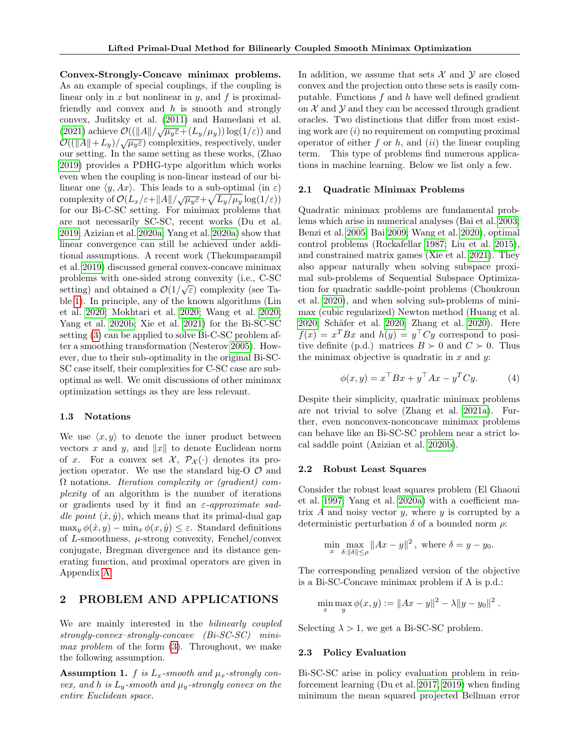Convex-Strongly-Concave minimax problems. As an example of special couplings, if the coupling is linear only in x but nonlinear in y, and f is proximalfriendly and convex and  $h$  is smooth and strongly convex, Juditsky et al. [\(2011\)](#page-9-13) and Hamedani et al. [\(2021\)](#page-10-13) achieve  $\mathcal{O}((\Vert A \Vert / \sqrt{\mu_y \varepsilon} + (L_y/\mu_y)) \log(1/\varepsilon))$  and  $\mathcal{O}((\Vert A \Vert + L_y)/\sqrt{\mu_y \varepsilon})$  complexities, respectively, under our setting. In the same setting as these works, (Zhao [2019\)](#page-10-9) provides a PDHG-type algorithm which works even when the coupling is non-linear instead of our bilinear one  $\langle y, Ax \rangle$ . This leads to a sub-optimal (in  $\varepsilon$ ) complexity of  $\mathcal{O}(L_x/\epsilon + ||A||/\sqrt{\mu_y \epsilon} + \sqrt{L_y/\mu_y} \log(1/\epsilon))$ for our Bi-C-SC setting. For minimax problems that are not necessarily SC-SC, recent works (Du et al. [2019;](#page-10-14) Azizian et al. [2020a;](#page-10-15) Yang et al. [2020a\)](#page-10-16) show that linear convergence can still be achieved under additional assumptions. A recent work (Thekumparampil et al. [2019\)](#page-10-10) discussed general convex-concave minimax problems with one-sided strong convexity (i.e., C-SC) setting) and obtained a  $\mathcal{O}(1/\sqrt{\varepsilon})$  complexity (see Table [1\)](#page-2-0). In principle, any of the known algorithms (Lin et al. [2020;](#page-10-5) Mokhtari et al. [2020;](#page-10-2) Wang et al. [2020;](#page-10-6) Yang et al. [2020b;](#page-10-17) Xie et al. [2021\)](#page-11-1) for the Bi-SC-SC setting [\(3\)](#page-1-0) can be applied to solve Bi-C-SC problem after a smoothing transformation (Nesterov [2005\)](#page-9-7). However, due to their sub-optimality in the original Bi-SC-SC case itself, their complexities for C-SC case are suboptimal as well. We omit discussions of other minimax optimization settings as they are less relevant.

#### 1.3 Notations

We use  $\langle x, y \rangle$  to denote the inner product between vectors x and y, and  $||x||$  to denote Euclidean norm of x. For a convex set  $\mathcal{X}, \mathcal{P}_{\mathcal{X}}(\cdot)$  denotes its projection operator. We use the standard big-O  $\mathcal{O}$  and  $\Omega$  notations. Iteration complexity or (gradient) complexity of an algorithm is the number of iterations or gradients used by it find an  $\varepsilon$ -approximate saddle point  $(\hat{x}, \hat{y})$ , which means that its primal-dual gap  $\max_{y} \phi(\hat{x}, y) - \min_{x} \phi(x, \hat{y}) \leq \varepsilon$ . Standard definitions of L-smoothness,  $\mu$ -strong convexity, Fenchel/convex conjugate, Bregman divergence and its distance generating function, and proximal operators are given in Appendix [A.](#page-12-0)

# <span id="page-3-0"></span>2 PROBLEM AND APPLICATIONS

We are mainly interested in the *bilinearly coupled* strongly-convex–strongly-concave (Bi-SC-SC) minimax problem of the form [\(3\)](#page-1-0). Throughout, we make the following assumption.

<span id="page-3-1"></span>Assumption 1. f is  $L_x$ -smooth and  $\mu_x$ -strongly convex, and h is  $L_y$ -smooth and  $\mu_y$ -strongly convex on the entire Euclidean space.

In addition, we assume that sets  $\mathcal X$  and  $\mathcal Y$  are closed convex and the projection onto these sets is easily computable. Functions  $f$  and  $h$  have well defined gradient on  $X$  and  $Y$  and they can be accessed through gradient oracles. Two distinctions that differ from most existing work are  $(i)$  no requirement on computing proximal operator of either f or h, and  $(ii)$  the linear coupling term. This type of problems find numerous applications in machine learning. Below we list only a few.

#### 2.1 Quadratic Minimax Problems

Quadratic minimax problems are fundamental problems which arise in numerical analyses (Bai et al. [2003;](#page-9-14) Benzi et al. [2005;](#page-9-15) Bai [2009;](#page-9-16) Wang et al. [2020\)](#page-10-6), optimal control problems (Rockafellar [1987;](#page-9-17) Liu et al. [2015\)](#page-9-18), and constrained matrix games (Xie et al. [2021\)](#page-11-1). They also appear naturally when solving subspace proximal sub-problems of Sequential Subspace Optimization for quadratic saddle-point problems (Choukroun et al. [2020\)](#page-10-18), and when solving sub-problems of minimax (cubic regularized) Newton method (Huang et al. [2020;](#page-10-19) Schäfer et al. [2020;](#page-10-20) Zhang et al. [2020\)](#page-10-21). Here  $f(x) = x^T B x$  and  $h(y) = y^T C y$  correspond to positive definite (p.d.) matrices  $B \succ 0$  and  $C \succ 0$ . Thus the minimax objective is quadratic in  $x$  and  $y$ :

<span id="page-3-2"></span>
$$
\phi(x, y) = x^{\top} B x + y^{\top} A x - y^T C y.
$$
 (4)

Despite their simplicity, quadratic minimax problems are not trivial to solve (Zhang et al. [2021a\)](#page-11-3). Further, even nonconvex-nonconcave minimax problems can behave like an Bi-SC-SC problem near a strict local saddle point (Azizian et al. [2020b\)](#page-10-22).

#### 2.2 Robust Least Squares

Consider the robust least squares problem (El Ghaoui et al. [1997;](#page-9-19) Yang et al. [2020a\)](#page-10-16) with a coefficient matrix A and noisy vector  $y$ , where  $y$  is corrupted by a deterministic perturbation  $\delta$  of a bounded norm  $\rho$ :

$$
\min_{x} \max_{\delta: \|\delta\| \le \rho} \|Ax - y\|^2, \text{ where } \delta = y - y_0.
$$

The corresponding penalized version of the objective is a Bi-SC-Concave minimax problem if A is p.d.:

$$
\min_x \max_y \phi(x, y) := \|Ax - y\|^2 - \lambda \|y - y_0\|^2.
$$

Selecting  $\lambda > 1$ , we get a Bi-SC-SC problem.

### 2.3 Policy Evaluation

Bi-SC-SC arise in policy evaluation problem in reinforcement learning (Du et al. [2017,](#page-10-23) [2019\)](#page-10-14) when finding minimum the mean squared projected Bellman error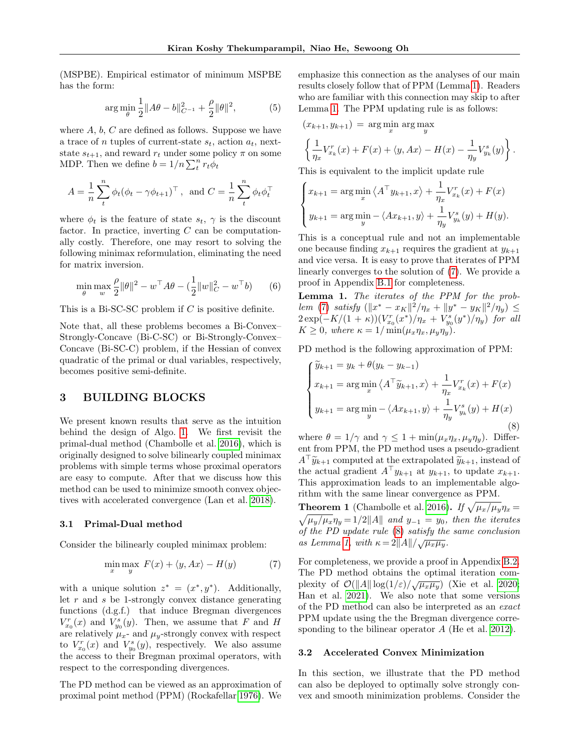(MSPBE). Empirical estimator of minimum MSPBE has the form:

$$
\arg\min_{\theta} \frac{1}{2} \|A\theta - b\|_{C^{-1}}^2 + \frac{\rho}{2} \|\theta\|^2,\tag{5}
$$

where  $A, b, C$  are defined as follows. Suppose we have a trace of n tuples of current-state  $s_t$ , action  $a_t$ , nextstate  $s_{t+1}$ , and reward  $r_t$  under some policy  $\pi$  on some MDP. Then we define  $b = 1/n \sum_t^n r_t \phi_t$ 

$$
A = \frac{1}{n} \sum_{t}^{n} \phi_t (\phi_t - \gamma \phi_{t+1})^{\top}, \text{ and } C = \frac{1}{n} \sum_{t}^{n} \phi_t \phi_t^{\top}
$$

where  $\phi_t$  is the feature of state  $s_t$ ,  $\gamma$  is the discount factor. In practice, inverting  $C$  can be computationally costly. Therefore, one may resort to solving the following minimax reformulation, eliminating the need for matrix inversion.

$$
\min_{\theta} \max_{w} \frac{\rho}{2} ||\theta||^2 - w^{\top} A \theta - \left(\frac{1}{2} ||w||^2_C - w^{\top} b\right) \tag{6}
$$

This is a Bi-SC-SC problem if C is positive definite.

Note that, all these problems becomes a Bi-Convex– Strongly-Concave (Bi-C-SC) or Bi-Strongly-Convex– Concave (Bi-SC-C) problem, if the Hessian of convex quadratic of the primal or dual variables, respectively, becomes positive semi-definite.

# 3 BUILDING BLOCKS

We present known results that serve as the intuition behind the design of Algo. [1.](#page-6-2) We first revisit the primal-dual method (Chambolle et al. [2016\)](#page-9-5), which is originally designed to solve bilinearly coupled minimax problems with simple terms whose proximal operators are easy to compute. After that we discuss how this method can be used to minimize smooth convex objectives with accelerated convergence (Lan et al. [2018\)](#page-10-7).

### <span id="page-4-5"></span>3.1 Primal-Dual method

Consider the bilinearly coupled minimax problem:

$$
\min_{x} \max_{y} F(x) + \langle y, Ax \rangle - H(y) \tag{7}
$$

with a unique solution  $z^* = (x^*, y^*)$ . Additionally, let  $r$  and  $s$  be 1-strongly convex distance generating functions (d.g.f.) that induce Bregman divergences  $V_{x_0}^r(x)$  and  $V_{y_0}^s(y)$ . Then, we assume that F and H are relatively  $\mu_x$ - and  $\mu_y$ -strongly convex with respect to  $V_{x_0}^r(x)$  and  $V_{y_0}^s(y)$ , respectively. We also assume the access to their Bregman proximal operators, with respect to the corresponding divergences.

The PD method can be viewed as an approximation of proximal point method (PPM) (Rockafellar [1976\)](#page-9-20). We emphasize this connection as the analyses of our main results closely follow that of PPM (Lemma [1\)](#page-4-0). Readers who are familiar with this connection may skip to after Lemma [1.](#page-4-0) The PPM updating rule is as follows:

$$
(x_{k+1}, y_{k+1}) = \arg\min_{x} \arg\max_{y} \left\{ \frac{1}{\eta_x} V_{x_k}^r(x) + F(x) + \langle y, Ax \rangle - H(x) - \frac{1}{\eta_y} V_{y_k}^s(y) \right\}.
$$

This is equivalent to the implicit update rule

<span id="page-4-2"></span>
$$
\begin{cases} x_{k+1} = \arg\min_{x} \left\langle A^{\top} y_{k+1}, x \right\rangle + \frac{1}{\eta_x} V_{x_k}^r(x) + F(x) \\ y_{k+1} = \arg\min_{y} - \left\langle Ax_{k+1}, y \right\rangle + \frac{1}{\eta_y} V_{y_k}^s(y) + H(y). \end{cases}
$$

This is a conceptual rule and not an implementable one because finding  $x_{k+1}$  requires the gradient at  $y_{k+1}$ and vice versa. It is easy to prove that iterates of PPM linearly converges to the solution of [\(7\)](#page-4-1). We provide a proof in Appendix [B.1](#page-14-0) for completeness.

<span id="page-4-6"></span><span id="page-4-0"></span>Lemma 1. The iterates of the PPM for the prob-lem [\(7\)](#page-4-1) satisfy  $(\|x^* - x_K\|^2 / \eta_x + \|y^* - y_K\|^2 / \eta_y) \le$  $2 \exp(-K/(1+\kappa)) (V_{x_0}^r(x^*)/\eta_x + V_{y_0}^s(y^*)/\eta_y)$  for all  $K \geq 0$ , where  $\kappa = 1/\min(\mu_x \eta_x, \mu_y \eta_y)$ .

PD method is the following approximation of PPM:

$$
\begin{cases}\n\widetilde{y}_{k+1} = y_k + \theta(y_k - y_{k-1}) \\
x_{k+1} = \arg\min_x \left\langle A^\top \widetilde{y}_{k+1}, x \right\rangle + \frac{1}{\eta_x} V_{x_k}^r(x) + F(x) \\
y_{k+1} = \arg\min_y - \left\langle Ax_{k+1}, y \right\rangle + \frac{1}{\eta_y} V_{y_k}^s(y) + H(x)\n\end{cases}
$$
\n(8)

where  $\theta = 1/\gamma$  and  $\gamma \leq 1 + \min(\mu_x \eta_x, \mu_y \eta_y)$ . Different from PPM, the PD method uses a pseudo-gradient  $A^{\top} \widetilde{y}_{k+1}$  computed at the extrapolated  $\widetilde{y}_{k+1},$  instead of the actual gradient  $A^{\top} y_{k+1}$  at  $y_{k+1}$ , to update  $x_{k+1}$ . This approximation leads to an implementable algorithm with the same linear convergence as PPM.

<span id="page-4-3"></span>**Theorem 1** (Chambolle et al. [2016\)](#page-9-5). If  $\sqrt{\mu_x/\mu_y}\eta_x =$  $\sqrt{\mu_y/\mu_x}\eta_y = 1/2||A||$  and  $y_{-1} = y_0$ , then the iterates of the PD update rule [\(8\)](#page-4-2) satisfy the same conclusion  $\alpha$  Lemma [1,](#page-4-0) with  $\kappa = 2||A||/\sqrt{\mu_x\mu_y}$ .

<span id="page-4-1"></span>For completeness, we provide a proof in Appendix [B.2.](#page-14-1) The PD method obtains the optimal iteration complexity of  $\mathcal{O}(\Vert A \Vert \log(1/\varepsilon)/\sqrt{\mu_x \mu_y})$  (Xie et al. [2020;](#page-10-24) Han et al. [2021\)](#page-11-4). We also note that some versions of the PD method can also be interpreted as an exact PPM update using the the Bregman divergence corre-sponding to the bilinear operator A (He et al. [2012\)](#page-9-21).

### <span id="page-4-4"></span>3.2 Accelerated Convex Minimization

In this section, we illustrate that the PD method can also be deployed to optimally solve strongly convex and smooth minimization problems. Consider the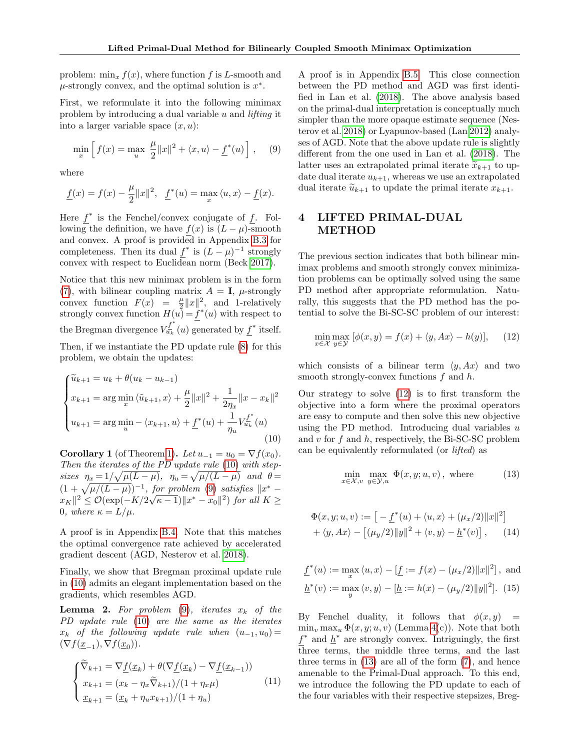problem:  $\min_{x} f(x)$ , where function f is L-smooth and  $\mu$ -strongly convex, and the optimal solution is  $x^*$ .

First, we reformulate it into the following minimax problem by introducing a dual variable u and lifting it into a larger variable space  $(x, u)$ :

$$
\min_{x} \left[ f(x) = \max_{u} \frac{\mu}{2} ||x||^{2} + \langle x, u \rangle - \underline{f}^{*}(u) \right], \quad (9)
$$

where

$$
\underline{f}(x) = f(x) - \frac{\mu}{2} ||x||^2, \quad \underline{f}^*(u) = \max_x \langle u, x \rangle - \underline{f}(x).
$$

Here  $f^*$  is the Fenchel/convex conjugate of  $f$ . Following the definition, we have  $f(x)$  is  $(L - \mu)$ -smooth and convex. A proof is provided in Appendix [B.3](#page-16-0) for completeness. Then its dual  $f^*$  is  $(L - \mu)^{-1}$  strongly convex with respect to Euclidean norm (Beck [2017\)](#page-9-22).

Notice that this new minimax problem is in the form [\(7\)](#page-4-1), with bilinear coupling matrix  $A = I$ ,  $\mu$ -strongly convex function  $F(x) = \frac{\mu}{2} ||x||^2$ , and 1-relatively strongly convex function  $H(u) = f^*(u)$  with respect to the Bregman divergence  $V_{u_k}^{\underline{f}^*}$  $\mathcal{U}_{u_k}^{\underline{f}}(u)$  generated by  $f^*$  itself. Then, if we instantiate the PD update rule [\(8\)](#page-4-2) for this

problem, we obtain the updates:

<span id="page-5-0"></span>
$$
\begin{cases}\n\widetilde{u}_{k+1} = u_k + \theta(u_k - u_{k-1}) \\
x_{k+1} = \arg\min_x \langle \widetilde{u}_{k+1}, x \rangle + \frac{\mu}{2} ||x||^2 + \frac{1}{2\eta_x} ||x - x_k||^2 \\
u_{k+1} = \arg\min_u - \langle x_{k+1}, u \rangle + \underline{f}^*(u) + \frac{1}{\eta_u} V_{u_k}^{\underline{f}^*}(u)\n\end{cases}
$$
\n(10)

<span id="page-5-5"></span>Corollary 1 (of Theorem [1\)](#page-4-3). Let  $u_{-1} = u_0 = \nabla f(x_0)$ . Then the iterates of the PD update rule [\(10\)](#page-5-0) with stepsizes  $\eta_x = 1/\sqrt{\mu(L-\mu)}$ ,  $\eta_u = \sqrt{\mu/(L-\mu)}$  and  $\theta =$  $(1 + \sqrt{\mu/(L - \mu)})^{-1}$ , for problem [\(9\)](#page-5-1) satisfies  $\|x^* - \mu\|$  $||x_K||^2 \leq \mathcal{O}(\exp(-K/2\sqrt{\kappa-1})||x^*-x_0||^2)$  for all  $K \geq$ 0, where  $\kappa = L/\mu$ .

A proof is in Appendix [B.4.](#page-16-1) Note that this matches the optimal convergence rate achieved by accelerated gradient descent (AGD, Nesterov et al. [2018\)](#page-10-3).

Finally, we show that Bregman proximal update rule in [\(10\)](#page-5-0) admits an elegant implementation based on the gradients, which resembles AGD.

<span id="page-5-4"></span>**Lemma 2.** For problem  $(9)$ , iterates  $x_k$  of the PD update rule [\(10\)](#page-5-0) are the same as the iterates  $x_k$  of the following update rule when  $(u_{-1}, u_0) =$  $(\nabla f(\underline{x}_{-1}), \nabla f(\underline{x}_0)).$ 

<span id="page-5-6"></span>
$$
\begin{cases}\n\widetilde{\nabla}_{k+1} = \nabla \underline{f}(\underline{x}_k) + \theta(\nabla \underline{f}(\underline{x}_k) - \nabla \underline{f}(\underline{x}_{k-1})) \\
x_{k+1} = (x_k - \eta_x \widetilde{\nabla}_{k+1})/(1 + \eta_x \mu) \\
\underline{x}_{k+1} = (\underline{x}_k + \eta_u x_{k+1})/(1 + \eta_u)\n\end{cases} (11)
$$

<span id="page-5-1"></span>A proof is in Appendix [B.5.](#page-16-2) This close connection between the PD method and AGD was first identified in Lan et al. [\(2018\)](#page-10-7). The above analysis based on the primal-dual interpretation is conceptually much simpler than the more opaque estimate sequence (Nesterov et al. [2018\)](#page-10-3) or Lyapunov-based (Lan [2012\)](#page-9-23) analyses of AGD. Note that the above update rule is slightly different from the one used in Lan et al. [\(2018\)](#page-10-7). The latter uses an extrapolated primal iterate  $\widetilde{x}_{k+1}$  to update dual iterate  $u_{k+1}$ , whereas we use an extrapolated dual iterate  $\widetilde{u}_{k+1}$  to update the primal iterate  $x_{k+1}$ .

# 4 LIFTED PRIMAL-DUAL METHOD

The previous section indicates that both bilinear minimax problems and smooth strongly convex minimization problems can be optimally solved using the same PD method after appropriate reformulation. Naturally, this suggests that the PD method has the potential to solve the Bi-SC-SC problem of our interest:

<span id="page-5-2"></span>
$$
\min_{x \in \mathcal{X}} \max_{y \in \mathcal{Y}} [\phi(x, y) = f(x) + \langle y, Ax \rangle - h(y)], \quad (12)
$$

which consists of a bilinear term  $\langle y, Ax \rangle$  and two smooth strongly-convex functions  $f$  and  $h$ .

Our strategy to solve [\(12\)](#page-5-2) is to first transform the objective into a form where the proximal operators are easy to compute and then solve this new objective using the PD method. Introducing dual variables  $u$ and  $v$  for  $f$  and  $h$ , respectively, the Bi-SC-SC problem can be equivalently reformulated (or lifted) as

<span id="page-5-3"></span>
$$
\min_{x \in \mathcal{X}, v} \max_{y \in \mathcal{Y}, u} \Phi(x, y; u, v), \text{ where } (13)
$$

$$
\Phi(x, y; u, v) := [-\underline{f}^*(u) + \langle u, x \rangle + (\mu_x/2) ||x||^2] \n+ \langle y, Ax \rangle - [(\mu_y/2) ||y||^2 + \langle v, y \rangle - \underline{h}^*(v)], \quad (14)
$$

$$
\underline{f}^*(u) := \max_x \langle u, x \rangle - [\underline{f} := f(x) - (\mu_x/2) ||x||^2], \text{ and}
$$

$$
\underline{h}^*(v) := \max_y \langle v, y \rangle - [\underline{h} := h(x) - (\mu_y/2) ||y||^2]. \tag{15}
$$

By Fenchel duality, it follows that  $\phi(x, y)$  =  $\min_v \max_u \Phi(x, y; u, v)$  (Lemma [4\(](#page-12-1)c)). Note that both  $f^*$  and  $h^*$  are strongly convex. Intriguingly, the first three terms, the middle three terms, and the last three terms in [\(13\)](#page-5-3) are all of the form [\(7\)](#page-4-1), and hence amenable to the Primal-Dual approach. To this end, we introduce the following the PD update to each of the four variables with their respective stepsizes, Breg-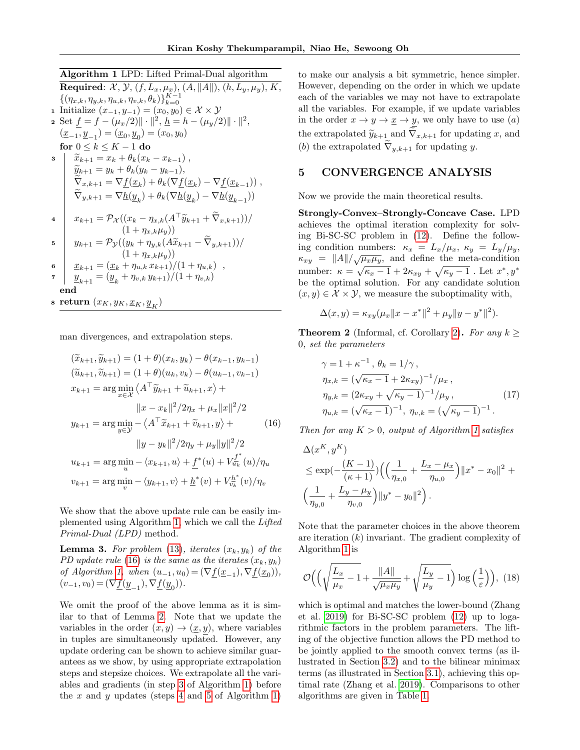# <span id="page-6-2"></span>Algorithm 1 LPD: Lifted Primal-Dual algorithm

<span id="page-6-4"></span>Required:  $\mathcal{X}, \mathcal{Y}, (f, L_x, \mu_x), (A, ||A||), (h, L_y, \mu_y), K$ ,  $\{(\eta_{x,k}, \eta_{y,k}, \eta_{u,k}, \eta_{v,k}, \theta_k)\}_{k=0}^{K-1}$ 1 Initialize  $(x_{-1}, y_{-1}) = (x_0, y_0) \in \mathcal{X} \times \mathcal{Y}$ 2 Set  $f = f - (\mu_x/2) || \cdot ||^2$ ,  $\underline{h} = h - (\mu_y/2) || \cdot ||^2$ ,  $(\underline{x}_{-1}, \underline{y}_{-1}) = (\underline{x}_0, \underline{y}_0) = (x_0, y_0)$ for  $0 \leq k \leq K - 1$  do  $\tilde{x}_{k+1} = x_k + \theta_k(x_k - x_{k-1}),$ <br> $\tilde{x}_{k+1} = x_k + \theta_k(x_k - x_{k-1}),$  $\widetilde{y}_{k+1} = y_k + \theta_k(y_k - y_{k-1}),$ <br> $\widetilde{\widetilde{\nabla}}$  $\nabla_{x,k+1} = \nabla \underline{f}(\underline{x}_k) + \theta_k (\nabla \underline{f}(\underline{x}_k) - \nabla \underline{f}(\underline{x}_{k-1}))$ ,  $\nabla_{y,k+1} = \nabla \underline{h}(\underline{y}_k) + \theta_k (\nabla \underline{h}(\underline{y}_k) - \nabla \underline{h}(\underline{y}_{k-1}))$  $x_{k+1} = \mathcal{P}_{\mathcal{X}}((x_k - \eta_{x,k}(A^{\top}\widetilde{y}_{k+1} + \widetilde{\nabla}_{x,k+1}))/\$  $y_{k+1} = \mathcal{P}_{\mathcal{Y}}((y_k + \eta_{y,k}(A\widetilde{x}_{k+1} - \nabla_{y,k+1}))/\$ 6  $\underline{x}_{k+1} = (\underline{x}_k + \eta_{u,k} x_{k+1})/(1 + \eta_{u,k})$ , 7  $y_{k+1} = (\underline{y}_k + \eta_{v,k} y_{k+1})/(1 + \eta_{v,k})$ end s return  $(x_K, y_K, \underline{x}_K, \underline{y}_K)$ 

<span id="page-6-8"></span><span id="page-6-6"></span><span id="page-6-5"></span>man divergences, and extrapolation steps.

$$
(\tilde{x}_{k+1}, \tilde{y}_{k+1}) = (1+\theta)(x_k, y_k) - \theta(x_{k-1}, y_{k-1})
$$
  
\n
$$
(\tilde{u}_{k+1}, \tilde{v}_{k+1}) = (1+\theta)(u_k, v_k) - \theta(u_{k-1}, v_{k-1})
$$
  
\n
$$
x_{k+1} = \arg \min_{x \in \mathcal{X}} \langle A^{\top} \tilde{y}_{k+1} + \tilde{u}_{k+1}, x \rangle +
$$
  
\n
$$
||x - x_k||^2 / 2\eta_x + \mu_x ||x||^2 / 2
$$
  
\n
$$
y_{k+1} = \arg \min_{y \in \mathcal{Y}} - \langle A^{\top} \tilde{x}_{k+1} + \tilde{v}_{k+1}, y \rangle +
$$
  
\n
$$
||y - y_k||^2 / 2\eta_y + \mu_y ||y||^2 / 2
$$
  
\n
$$
u_{k+1} = \arg \min_u - \langle x_{k+1}, u \rangle + \underline{f}^*(u) + V_{u_k}^{\underline{f}^*}(u) / \eta_u
$$
  
\n
$$
v_{k+1} = \arg \min_v - \langle y_{k+1}, v \rangle + \underline{h}^*(v) + V_{v_k}^{\underline{h}^*}(v) / \eta_v
$$

We show that the above update rule can be easily implemented using Algorithm [1,](#page-6-2) which we call the Lifted Primal-Dual (LPD) method.

<span id="page-6-7"></span>**Lemma 3.** For problem [\(13\)](#page-5-3), iterates  $(x_k, y_k)$  of the PD update rule [\(16\)](#page-6-3) is the same as the iterates  $(x_k, y_k)$ of Algorithm [1,](#page-6-2) when  $(u_{-1}, u_0) = (\nabla \underline{f}(\underline{x}_{-1}), \nabla \underline{f}(\underline{x}_0)),$  $(v_{-1}, v_0) = (\nabla \underline{f}(\underline{y}_{-1}), \nabla \underline{f}(\underline{y}_0)).$ 

We omit the proof of the above lemma as it is similar to that of Lemma [2.](#page-5-4) Note that we update the variables in the order  $(x, y) \rightarrow (x, y)$ , where variables in tuples are simultaneously updated. However, any update ordering can be shown to achieve similar guarantees as we show, by using appropriate extrapolation steps and stepsize choices. We extrapolate all the variables and gradients (in step [3](#page-6-4) of Algorithm [1\)](#page-6-2) before the  $x$  and  $y$  updates (steps [4](#page-6-5) and [5](#page-6-6) of Algorithm [1\)](#page-6-2)

to make our analysis a bit symmetric, hence simpler. However, depending on the order in which we update each of the variables we may not have to extrapolate all the variables. For example, if we update variables in the order  $x \to y \to \underline{x} \to y$ , we only have to use  $(a)$ the extrapolated  $\widetilde{y}_{k+1}$  and  $\nabla_{x,k+1}$  for updating x, and (b) the extrapolated  $\nabla_{y,k+1}$  for updating y.

## <span id="page-6-1"></span>5 CONVERGENCE ANALYSIS

Now we provide the main theoretical results.

Strongly-Convex–Strongly-Concave Case. LPD achieves the optimal iteration complexity for solving Bi-SC-SC problem in [\(12\)](#page-5-2). Define the following condition numbers:  $\kappa_x = L_x/\mu_x, \ \kappa_y = L_y/\mu_y,$  $\kappa_{xy} = ||A|| / \sqrt{\mu_x \mu_y}$ , and define the meta-condition number:  $\kappa = \sqrt{\kappa_x - 1} + 2\kappa_{xy} + \sqrt{\kappa_y - 1}$ . Let  $x^*, y^*$ be the optimal solution. For any candidate solution  $(x, y) \in \mathcal{X} \times \mathcal{Y}$ , we measure the suboptimality with,

$$
\Delta(x, y) = \kappa_{xy}(\mu_x ||x - x^*||^2 + \mu_y ||y - y^*||^2).
$$

<span id="page-6-0"></span>**Theorem 2** (Informal, cf. Corollary [2\)](#page-22-0). For any  $k \geq$ 0, set the parameters

$$
\gamma = 1 + \kappa^{-1}, \, \theta_k = 1/\gamma, \n\eta_{x,k} = (\sqrt{\kappa_x - 1} + 2\kappa_{xy})^{-1}/\mu_x, \n\eta_{y,k} = (2\kappa_{xy} + \sqrt{\kappa_y - 1})^{-1}/\mu_y, \n\eta_{u,k} = (\sqrt{\kappa_x - 1})^{-1}, \, \eta_{v,k} = (\sqrt{\kappa_y - 1})^{-1}.
$$
\n(17)

<span id="page-6-3"></span>Then for any  $K > 0$ , output of Algorithm [1](#page-6-2) satisfies

$$
\Delta(x^K, y^K)
$$
  
\n
$$
\le \exp(-\frac{(K-1)}{(\kappa+1)}) \Big( \Big( \frac{1}{\eta_{x,0}} + \frac{L_x - \mu_x}{\eta_{u,0}} \Big) \|x^* - x_0\|^2 + \Big( \frac{1}{\eta_{y,0}} + \frac{L_y - \mu_y}{\eta_{v,0}} \Big) \|y^* - y_0\|^2 \Big).
$$

Note that the parameter choices in the above theorem are iteration  $(k)$  invariant. The gradient complexity of Algorithm [1](#page-6-2) is

$$
\mathcal{O}\Big(\Big(\sqrt{\frac{L_x}{\mu_x} - 1} + \frac{\|A\|}{\sqrt{\mu_x \mu_y}} + \sqrt{\frac{L_y}{\mu_y} - 1}\Big) \log\Big(\frac{1}{\varepsilon}\Big)\Big),\ (18)
$$

which is optimal and matches the lower-bound (Zhang et al. [2019\)](#page-10-0) for Bi-SC-SC problem [\(12\)](#page-5-2) up to logarithmic factors in the problem parameters. The lifting of the objective function allows the PD method to be jointly applied to the smooth convex terms (as illustrated in Section [3.2\)](#page-4-4) and to the bilinear minimax terms (as illustrated in Section [3.1\)](#page-4-5), achieving this optimal rate (Zhang et al. [2019\)](#page-10-0). Comparisons to other algorithms are given in Table [1.](#page-2-0)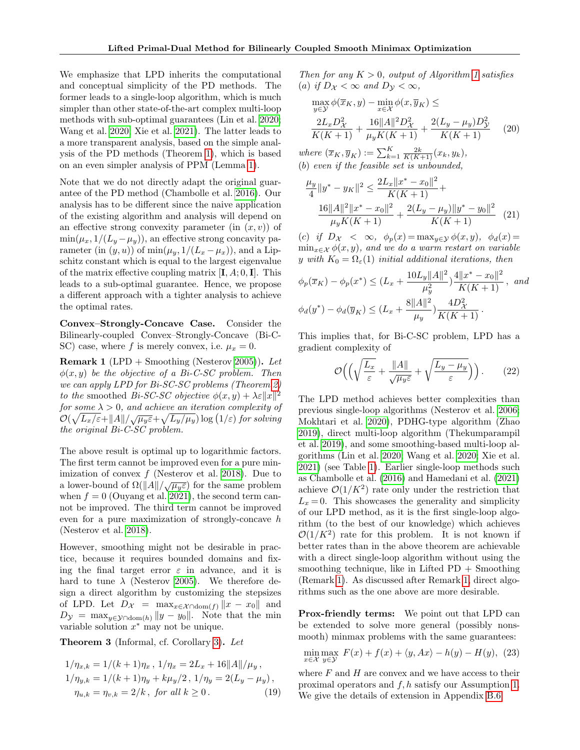We emphasize that LPD inherits the computational and conceptual simplicity of the PD methods. The former leads to a single-loop algorithm, which is much simpler than other state-of-the-art complex multi-loop methods with sub-optimal guarantees (Lin et al. [2020;](#page-10-5) Wang et al. [2020;](#page-10-6) Xie et al. [2021\)](#page-11-1). The latter leads to a more transparent analysis, based on the simple analysis of the PD methods (Theorem [1\)](#page-4-3), which is based on an even simpler analysis of PPM (Lemma [1\)](#page-4-0).

Note that we do not directly adapt the original guarantee of the PD method (Chambolle et al. [2016\)](#page-9-5). Our analysis has to be different since the naive application of the existing algorithm and analysis will depend on an effective strong convexity parameter (in  $(x, v)$ ) of  $\min(\mu_x, 1/(L_y - \mu_y))$ , an effective strong concavity parameter (in  $(y, u)$ ) of min $(\mu_y, 1/(L_x - \mu_x))$ , and a Lipschitz constant which is equal to the largest eigenvalue of the matrix effective coupling matrix  $[I, A; 0, I]$ . This leads to a sub-optimal guarantee. Hence, we propose a different approach with a tighter analysis to achieve the optimal rates.

Convex–Strongly-Concave Case. Consider the Bilinearly-coupled Convex–Strongly-Concave (Bi-C-SC) case, where f is merely convex, i.e.  $\mu_x = 0$ .

<span id="page-7-0"></span>**Remark 1** (LPD + Smoothing (Nesterov [2005\)](#page-9-7)). Let  $\phi(x, y)$  be the objective of a Bi-C-SC problem. Then we can apply LPD for Bi-SC-SC problems (Theorem [2\)](#page-6-0) to the smoothed Bi-SC-SC objective  $\phi(x, y) + \lambda \varepsilon ||x||^2$ for some  $\lambda > 0$ , and achieve an iteration complexity of  $\mathcal{O}(\sqrt{L_x/\varepsilon} + ||A||/\sqrt{\mu_y \varepsilon} + \sqrt{L_y/\mu_y}) \log(1/\varepsilon)$  for solving the original Bi-C-SC problem.

The above result is optimal up to logarithmic factors. The first term cannot be improved even for a pure minimization of convex  $f$  (Nesterov et al. [2018\)](#page-10-3). Due to a lower-bound of  $\Omega(||A||/\sqrt{\mu_y \varepsilon})$  for the same problem when  $f = 0$  (Ouyang et al. [2021\)](#page-11-2), the second term cannot be improved. The third term cannot be improved even for a pure maximization of strongly-concave  $h$ (Nesterov et al. [2018\)](#page-10-3).

However, smoothing might not be desirable in practice, because it requires bounded domains and fixing the final target error  $\varepsilon$  in advance, and it is hard to tune  $\lambda$  (Nesterov [2005\)](#page-9-7). We therefore design a direct algorithm by customizing the stepsizes of LPD. Let  $D_{\mathcal{X}} = \max_{x \in \mathcal{X} \cap \text{dom}(f)} \|x - x_0\|$  and  $D_{\mathcal{Y}} = \max_{y \in \mathcal{Y} \cap \text{dom}(h)} \|y - y_0\|.$  Note that the min variable solution  $x^*$  may not be unique.

<span id="page-7-1"></span>Theorem 3 (Informal, cf. Corollary [3\)](#page-24-0). Let

$$
1/\eta_{x,k} = 1/(k+1)\eta_x, 1/\eta_x = 2L_x + 16||A||/\mu_y,
$$
  
\n
$$
1/\eta_{y,k} = 1/(k+1)\eta_y + k\mu_y/2, 1/\eta_y = 2(L_y - \mu_y),
$$
  
\n
$$
\eta_{u,k} = \eta_{v,k} = 2/k, \text{ for all } k \ge 0.
$$
\n(19)

Then for any  $K > 0$ , output of Algorithm [1](#page-6-2) satisfies (a) if  $D_{\mathcal{X}} < \infty$  and  $D_{\mathcal{Y}} < \infty$ ,

$$
\max_{y \in \mathcal{Y}} \phi(\overline{x}_K, y) - \min_{x \in \mathcal{X}} \phi(x, \overline{y}_K) \le
$$
\n
$$
\frac{2L_x D_X^2}{K(K+1)} + \frac{16||A||^2 D_X^2}{\mu_y K(K+1)} + \frac{2(L_y - \mu_y) D_Y^2}{K(K+1)}
$$
\n(20)

where  $(\overline{x}_K, \overline{y}_K) := \sum_{k=1}^K \frac{2k}{K(K+1)}(x_k, y_k),$ (b) even if the feasible set is unbounded,

$$
\frac{\mu_y}{4} \|y^* - y_K\|^2 \le \frac{2L_x \|x^* - x_0\|^2}{K(K+1)} +
$$
  

$$
\frac{16\|A\|^2 \|x^* - x_0\|^2}{\mu_y K(K+1)} + \frac{2(L_y - \mu_y) \|y^* - y_0\|^2}{K(K+1)}
$$
(21)

(c) if  $D_{\mathcal{X}} < \infty$ ,  $\phi_n(x) = \max_{y \in \mathcal{Y}} \phi(x, y)$ ,  $\phi_d(x) =$  $\min_{x \in \mathcal{X}} \phi(x, y)$ , and we do a warm restart on variable y with  $K_0 = \Omega_{\varepsilon}(1)$  initial additional iterations, then

$$
\phi_p(\overline{x}_K) - \phi_p(x^*) \le (L_x + \frac{10L_y ||A||^2}{\mu_y^2}) \frac{4||x^* - x_0||^2}{K(K+1)}, \text{ and}
$$
  

$$
\phi_d(y^*) - \phi_d(\overline{y}_K) \le (L_x + \frac{8||A||^2}{\mu_y}) \frac{4D_X^2}{K(K+1)}.
$$

This implies that, for Bi-C-SC problem, LPD has a gradient complexity of

$$
\mathcal{O}\Big(\Big(\sqrt{\frac{L_x}{\varepsilon}} + \frac{\|A\|}{\sqrt{\mu_y \varepsilon}} + \sqrt{\frac{L_y - \mu_y}{\varepsilon}}\Big)\Big). \qquad (22)
$$

The LPD method achieves better complexities than previous single-loop algorithms (Nesterov et al. [2006;](#page-9-11) Mokhtari et al. [2020\)](#page-10-2), PDHG-type algorithm (Zhao [2019\)](#page-10-9), direct multi-loop algorithm (Thekumparampil et al. [2019\)](#page-10-10), and some smoothing-based multi-loop algorithms (Lin et al. [2020;](#page-10-5) Wang et al. [2020;](#page-10-6) Xie et al. [2021\)](#page-11-1) (see Table [1\)](#page-2-0). Earlier single-loop methods such as Chambolle et al. [\(2016\)](#page-9-5) and Hamedani et al. [\(2021\)](#page-10-13) achieve  $\mathcal{O}(1/K^2)$  rate only under the restriction that  $L_x = 0$ . This showcases the generality and simplicity of our LPD method, as it is the first single-loop algorithm (to the best of our knowledge) which achieves  $\mathcal{O}(1/K^2)$  rate for this problem. It is not known if better rates than in the above theorem are achievable with a direct single-loop algorithm without using the smoothing technique, like in Lifted  $PD +$  Smoothing (Remark [1\)](#page-7-0). As discussed after Remark [1,](#page-7-0) direct algorithms such as the one above are more desirable.

Prox-friendly terms: We point out that LPD can be extended to solve more general (possibly nonsmooth) minmax problems with the same guarantees:

$$
\min_{x \in \mathcal{X}} \max_{y \in \mathcal{Y}} F(x) + f(x) + \langle y, Ax \rangle - h(y) - H(y), \tag{23}
$$

where  $F$  and  $H$  are convex and we have access to their proximal operators and f, h satisfy our Assumption [1.](#page-3-1) We give the details of extension in Appendix [B.6.](#page-17-0)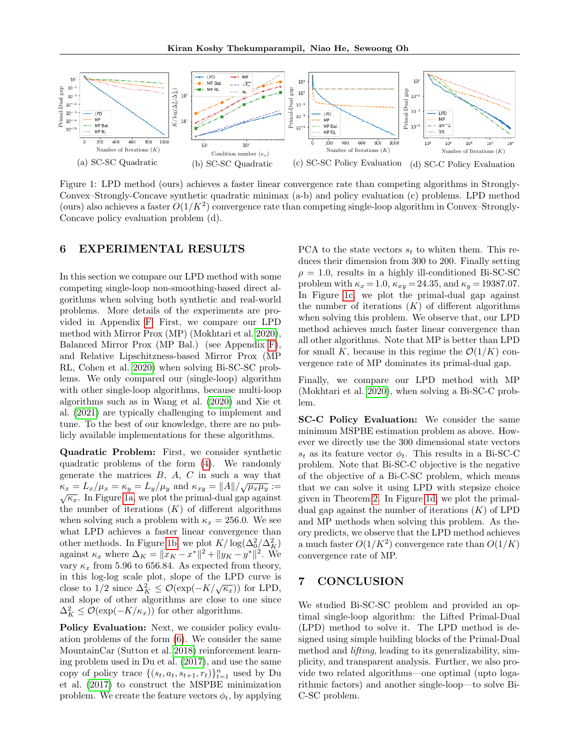<span id="page-8-0"></span>

Figure 1: LPD method (ours) achieves a faster linear convergence rate than competing algorithms in Strongly-Convex–Strongly-Concave synthetic quadratic minimax (a-b) and policy evaluation (c) problems. LPD method (ours) also achieves a faster  $O(1/K^2)$  convergence rate than competing single-loop algorithm in Convex–Strongly-Concave policy evaluation problem (d).

# <span id="page-8-1"></span>6 EXPERIMENTAL RESULTS

In this section we compare our LPD method with some competing single-loop non-smoothing-based direct algorithms when solving both synthetic and real-world problems. More details of the experiments are provided in Appendix [F.](#page-27-0) First, we compare our LPD method with Mirror Prox (MP) (Mokhtari et al. [2020\)](#page-10-2), Balanced Mirror Prox (MP Bal.) (see Appendix [F\)](#page-27-0), and Relative Lipschitzness-based Mirror Prox (MP RL, Cohen et al. [2020\)](#page-10-4) when solving Bi-SC-SC problems. We only compared our (single-loop) algorithm with other single-loop algorithms, because multi-loop algorithms such as in Wang et al. [\(2020\)](#page-10-6) and Xie et al. [\(2021\)](#page-11-1) are typically challenging to implement and tune. To the best of our knowledge, there are no publicly available implementations for these algorithms.

Quadratic Problem: First, we consider synthetic quadratic problems of the form [\(4\)](#page-3-2). We randomly generate the matrices  $B, A, C$  in such a way that  $\kappa_x = L_x/\mu_x = \kappa_y = L_y/\mu_y$  and  $\kappa_{xy} = ||A||/\sqrt{\mu_x\mu_y} :=$  $\sqrt{\kappa_x}$ . In Figure [1a,](#page-8-0) we plot the primal-dual gap against the number of iterations  $(K)$  of different algorithms when solving such a problem with  $\kappa_x = 256.0$ . We see what LPD achieves a faster linear convergence than other methods. In Figure [1b,](#page-8-0) we plot  $K/\log(\Delta_0^2/\Delta_K^2)$ against  $\kappa_x$  where  $\Delta_K = ||x_K - x^*||^2 + ||y_K - y^*||^2$ . We vary  $\kappa_x$  from 5.96 to 656.84. As expected from theory, in this log-log scale plot, slope of the LPD curve is th this log-log scale plot, slope of the EID curve is<br>close to 1/2 since  $\Delta_K^2 \leq \mathcal{O}(\exp(-K/\sqrt{\kappa_x}))$  for LPD, and slope of other algorithms are close to one since  $\Delta_K^2 \leq \mathcal{O}(\exp(-K/\kappa_x))$  for other algorithms.

Policy Evaluation: Next, we consider policy evaluation problems of the form [\(6\)](#page-4-6). We consider the same MountainCar (Sutton et al. [2018\)](#page-10-25) reinforcement learning problem used in Du et al. [\(2017\)](#page-10-23), and use the same copy of policy trace  $\{(s_t, a_t, s_{t+1}, r_t)\}_{t=1}^n$  used by Du et al. [\(2017\)](#page-10-23) to construct the MSPBE minimization problem. We create the feature vectors  $\phi_t$ , by applying PCA to the state vectors  $s_t$  to whiten them. This reduces their dimension from 300 to 200. Finally setting  $\rho = 1.0$ , results in a highly ill-conditioned Bi-SC-SC problem with  $\kappa_x = 1.0$ ,  $\kappa_{xy} = 24.35$ , and  $\kappa_y = 19387.07$ . In Figure [1c,](#page-8-0) we plot the primal-dual gap against the number of iterations  $(K)$  of different algorithms when solving this problem. We observe that, our LPD method achieves much faster linear convergence than all other algorithms. Note that MP is better than LPD for small K, because in this regime the  $\mathcal{O}(1/K)$  convergence rate of MP dominates its primal-dual gap.

Finally, we compare our LPD method with MP (Mokhtari et al. [2020\)](#page-10-2), when solving a Bi-SC-C problem.

SC-C Policy Evaluation: We consider the same minimum MSPBE estimation problem as above. However we directly use the 300 dimensional state vectors  $s_t$  as its feature vector  $\phi_t$ . This results in a Bi-SC-C problem. Note that Bi-SC-C objective is the negative of the objective of a Bi-C-SC problem, which means that we can solve it using LPD with stepsize choice given in Theorem [2.](#page-6-0) In Figure [1d,](#page-8-0) we plot the primaldual gap against the number of iterations  $(K)$  of LPD and MP methods when solving this problem. As theory predicts, we observe that the LPD method achieves a much faster  $O(1/K^2)$  convergence rate than  $O(1/K)$ convergence rate of MP.

## 7 CONCLUSION

We studied Bi-SC-SC problem and provided an optimal single-loop algorithm: the Lifted Primal-Dual (LPD) method to solve it. The LPD method is designed using simple building blocks of the Primal-Dual method and lifting, leading to its generalizability, simplicity, and transparent analysis. Further, we also provide two related algorithms—one optimal (upto logarithmic factors) and another single-loop—to solve Bi-C-SC problem.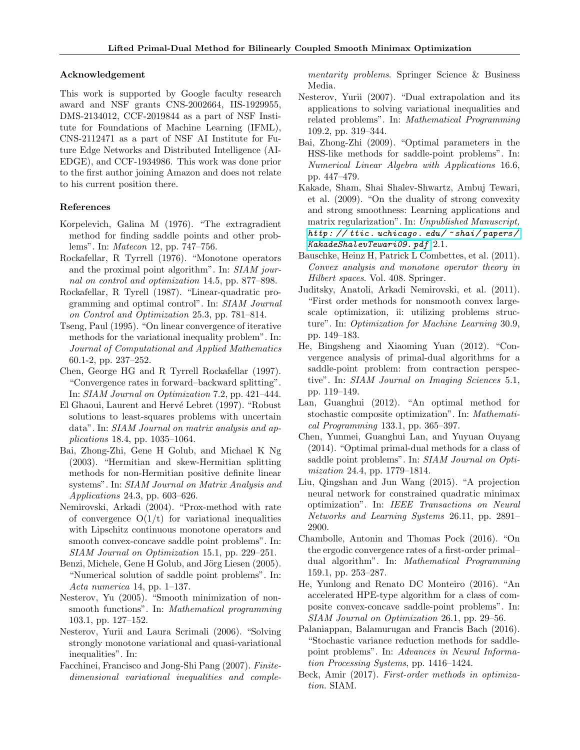### Acknowledgement

This work is supported by Google faculty research award and NSF grants CNS-2002664, IIS-1929955, DMS-2134012, CCF-2019844 as a part of NSF Institute for Foundations of Machine Learning (IFML), CNS-2112471 as a part of NSF AI Institute for Future Edge Networks and Distributed Intelligence (AI-EDGE), and CCF-1934986. This work was done prior to the first author joining Amazon and does not relate to his current position there.

### References

- <span id="page-9-0"></span>Korpelevich, Galina M (1976). "The extragradient method for finding saddle points and other problems". In: Matecon 12, pp. 747–756.
- <span id="page-9-20"></span>Rockafellar, R Tyrrell (1976). "Monotone operators and the proximal point algorithm". In: SIAM journal on control and optimization 14.5, pp. 877–898.
- <span id="page-9-17"></span>Rockafellar, R Tyrell (1987). "Linear-quadratic programming and optimal control". In: SIAM Journal on Control and Optimization 25.3, pp. 781–814.
- <span id="page-9-9"></span>Tseng, Paul (1995). "On linear convergence of iterative methods for the variational inequality problem". In: Journal of Computational and Applied Mathematics 60.1-2, pp. 237–252.
- <span id="page-9-2"></span>Chen, George HG and R Tyrrell Rockafellar (1997). "Convergence rates in forward–backward splitting". In: SIAM Journal on Optimization 7.2, pp. 421–444.
- <span id="page-9-19"></span>El Ghaoui, Laurent and Hervé Lebret (1997). "Robust solutions to least-squares problems with uncertain data". In: SIAM Journal on matrix analysis and applications 18.4, pp. 1035–1064.
- <span id="page-9-14"></span>Bai, Zhong-Zhi, Gene H Golub, and Michael K Ng (2003). "Hermitian and skew-Hermitian splitting methods for non-Hermitian positive definite linear systems". In: SIAM Journal on Matrix Analysis and Applications 24.3, pp. 603–626.
- <span id="page-9-1"></span>Nemirovski, Arkadi (2004). "Prox-method with rate of convergence  $O(1/t)$  for variational inequalities with Lipschitz continuous monotone operators and smooth convex-concave saddle point problems". In: SIAM Journal on Optimization 15.1, pp. 229–251.
- <span id="page-9-15"></span>Benzi, Michele, Gene H Golub, and Jörg Liesen (2005). "Numerical solution of saddle point problems". In: Acta numerica 14, pp. 1–137.
- <span id="page-9-7"></span>Nesterov, Yu (2005). "Smooth minimization of nonsmooth functions". In: Mathematical programming 103.1, pp. 127–152.
- <span id="page-9-11"></span>Nesterov, Yurii and Laura Scrimali (2006). "Solving strongly monotone variational and quasi-variational inequalities". In:
- <span id="page-9-10"></span>Facchinei, Francisco and Jong-Shi Pang (2007). Finitedimensional variational inequalities and comple-

mentarity problems. Springer Science & Business Media.

- <span id="page-9-12"></span>Nesterov, Yurii (2007). "Dual extrapolation and its applications to solving variational inequalities and related problems". In: Mathematical Programming 109.2, pp. 319–344.
- <span id="page-9-16"></span>Bai, Zhong-Zhi (2009). "Optimal parameters in the HSS-like methods for saddle-point problems". In: Numerical Linear Algebra with Applications 16.6, pp. 447–479.
- <span id="page-9-24"></span>Kakade, Sham, Shai Shalev-Shwartz, Ambuj Tewari, et al. (2009). "On the duality of strong convexity and strong smoothness: Learning applications and matrix regularization". In: Unpublished Manuscript, [http: // ttic. uchicago. edu/](http://ttic.uchicago.edu/~shai/papers/KakadeShalevTewari09.pdf) ~ shai/ papers/ [KakadeShalevTewari09. pdf](http://ttic.uchicago.edu/~shai/papers/KakadeShalevTewari09.pdf) 2.1.
- <span id="page-9-3"></span>Bauschke, Heinz H, Patrick L Combettes, et al. (2011). Convex analysis and monotone operator theory in Hilbert spaces. Vol. 408. Springer.
- <span id="page-9-13"></span>Juditsky, Anatoli, Arkadi Nemirovski, et al. (2011). "First order methods for nonsmooth convex largescale optimization, ii: utilizing problems structure". In: Optimization for Machine Learning 30.9, pp. 149–183.
- <span id="page-9-21"></span>He, Bingsheng and Xiaoming Yuan (2012). "Convergence analysis of primal-dual algorithms for a saddle-point problem: from contraction perspective". In: SIAM Journal on Imaging Sciences 5.1, pp. 119–149.
- <span id="page-9-23"></span>Lan, Guanghui (2012). "An optimal method for stochastic composite optimization". In: Mathematical Programming 133.1, pp. 365–397.
- <span id="page-9-4"></span>Chen, Yunmei, Guanghui Lan, and Yuyuan Ouyang (2014). "Optimal primal-dual methods for a class of saddle point problems". In: SIAM Journal on Optimization 24.4, pp. 1779–1814.
- <span id="page-9-18"></span>Liu, Qingshan and Jun Wang (2015). "A projection neural network for constrained quadratic minimax optimization". In: IEEE Transactions on Neural Networks and Learning Systems 26.11, pp. 2891– 2900.
- <span id="page-9-5"></span>Chambolle, Antonin and Thomas Pock (2016). "On the ergodic convergence rates of a first-order primal– dual algorithm". In: Mathematical Programming 159.1, pp. 253–287.
- <span id="page-9-6"></span>He, Yunlong and Renato DC Monteiro (2016). "An accelerated HPE-type algorithm for a class of composite convex-concave saddle-point problems". In: SIAM Journal on Optimization 26.1, pp. 29–56.
- <span id="page-9-8"></span>Palaniappan, Balamurugan and Francis Bach (2016). "Stochastic variance reduction methods for saddlepoint problems". In: Advances in Neural Information Processing Systems, pp. 1416–1424.
- <span id="page-9-22"></span>Beck, Amir (2017). First-order methods in optimization. SIAM.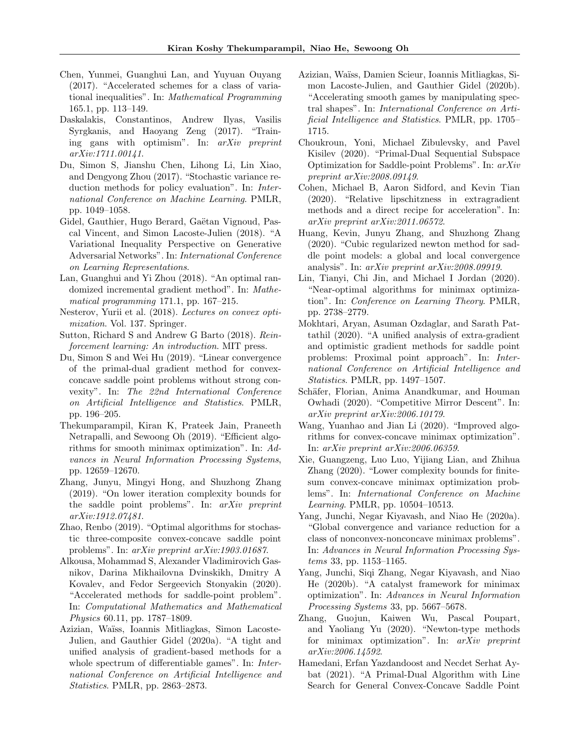- <span id="page-10-8"></span>Chen, Yunmei, Guanghui Lan, and Yuyuan Ouyang (2017). "Accelerated schemes for a class of variational inequalities". In: Mathematical Programming 165.1, pp. 113–149.
- <span id="page-10-11"></span>Daskalakis, Constantinos, Andrew Ilyas, Vasilis Syrgkanis, and Haoyang Zeng (2017). "Training gans with optimism". In: arXiv preprint arXiv:1711.00141.
- <span id="page-10-23"></span>Du, Simon S, Jianshu Chen, Lihong Li, Lin Xiao, and Dengyong Zhou (2017). "Stochastic variance reduction methods for policy evaluation". In: International Conference on Machine Learning. PMLR, pp. 1049–1058.
- <span id="page-10-1"></span>Gidel, Gauthier, Hugo Berard, Gaëtan Vignoud, Pascal Vincent, and Simon Lacoste-Julien (2018). "A Variational Inequality Perspective on Generative Adversarial Networks". In: International Conference on Learning Representations.
- <span id="page-10-7"></span>Lan, Guanghui and Yi Zhou (2018). "An optimal randomized incremental gradient method". In: Mathematical programming 171.1, pp. 167–215.
- <span id="page-10-3"></span>Nesterov, Yurii et al. (2018). Lectures on convex optimization. Vol. 137. Springer.
- <span id="page-10-25"></span>Sutton, Richard S and Andrew G Barto (2018). Reinforcement learning: An introduction. MIT press.
- <span id="page-10-14"></span>Du, Simon S and Wei Hu (2019). "Linear convergence of the primal-dual gradient method for convexconcave saddle point problems without strong convexity". In: The 22nd International Conference on Artificial Intelligence and Statistics. PMLR, pp. 196–205.
- <span id="page-10-10"></span>Thekumparampil, Kiran K, Prateek Jain, Praneeth Netrapalli, and Sewoong Oh (2019). "Efficient algorithms for smooth minimax optimization". In: Advances in Neural Information Processing Systems, pp. 12659–12670.
- <span id="page-10-0"></span>Zhang, Junyu, Mingyi Hong, and Shuzhong Zhang (2019). "On lower iteration complexity bounds for the saddle point problems". In: arXiv preprint arXiv:1912.07481.
- <span id="page-10-9"></span>Zhao, Renbo (2019). "Optimal algorithms for stochastic three-composite convex-concave saddle point problems". In: arXiv preprint arXiv:1903.01687.
- <span id="page-10-12"></span>Alkousa, Mohammad S, Alexander Vladimirovich Gasnikov, Darina Mikhailovna Dvinskikh, Dmitry A Kovalev, and Fedor Sergeevich Stonyakin (2020). "Accelerated methods for saddle-point problem". In: Computational Mathematics and Mathematical Physics 60.11, pp. 1787–1809.
- <span id="page-10-15"></span>Azizian, Waïss, Ioannis Mitliagkas, Simon Lacoste-Julien, and Gauthier Gidel (2020a). "A tight and unified analysis of gradient-based methods for a whole spectrum of differentiable games". In: International Conference on Artificial Intelligence and Statistics. PMLR, pp. 2863–2873.
- <span id="page-10-22"></span>Azizian, Wa¨ıss, Damien Scieur, Ioannis Mitliagkas, Simon Lacoste-Julien, and Gauthier Gidel (2020b). "Accelerating smooth games by manipulating spectral shapes". In: International Conference on Artificial Intelligence and Statistics. PMLR, pp. 1705– 1715.
- <span id="page-10-18"></span>Choukroun, Yoni, Michael Zibulevsky, and Pavel Kisilev (2020). "Primal-Dual Sequential Subspace Optimization for Saddle-point Problems". In: arXiv preprint arXiv:2008.09149.
- <span id="page-10-4"></span>Cohen, Michael B, Aaron Sidford, and Kevin Tian (2020). "Relative lipschitzness in extragradient methods and a direct recipe for acceleration". In: arXiv preprint arXiv:2011.06572.
- <span id="page-10-19"></span>Huang, Kevin, Junyu Zhang, and Shuzhong Zhang (2020). "Cubic regularized newton method for saddle point models: a global and local convergence analysis". In: arXiv preprint arXiv:2008.09919.
- <span id="page-10-5"></span>Lin, Tianyi, Chi Jin, and Michael I Jordan (2020). "Near-optimal algorithms for minimax optimization". In: Conference on Learning Theory. PMLR, pp. 2738–2779.
- <span id="page-10-2"></span>Mokhtari, Aryan, Asuman Ozdaglar, and Sarath Pattathil (2020). "A unified analysis of extra-gradient and optimistic gradient methods for saddle point problems: Proximal point approach". In: International Conference on Artificial Intelligence and Statistics. PMLR, pp. 1497–1507.
- <span id="page-10-20"></span>Schäfer, Florian, Anima Anandkumar, and Houman Owhadi (2020). "Competitive Mirror Descent". In: arXiv preprint arXiv:2006.10179.
- <span id="page-10-6"></span>Wang, Yuanhao and Jian Li (2020). "Improved algorithms for convex-concave minimax optimization". In: arXiv preprint arXiv:2006.06359.
- <span id="page-10-24"></span>Xie, Guangzeng, Luo Luo, Yijiang Lian, and Zhihua Zhang (2020). "Lower complexity bounds for finitesum convex-concave minimax optimization problems". In: International Conference on Machine Learning. PMLR, pp. 10504–10513.
- <span id="page-10-16"></span>Yang, Junchi, Negar Kiyavash, and Niao He (2020a). "Global convergence and variance reduction for a class of nonconvex-nonconcave minimax problems". In: Advances in Neural Information Processing Systems 33, pp. 1153–1165.
- <span id="page-10-17"></span>Yang, Junchi, Siqi Zhang, Negar Kiyavash, and Niao He (2020b). "A catalyst framework for minimax optimization". In: Advances in Neural Information Processing Systems 33, pp. 5667–5678.
- <span id="page-10-21"></span>Zhang, Guojun, Kaiwen Wu, Pascal Poupart, and Yaoliang Yu (2020). "Newton-type methods for minimax optimization". In: arXiv preprint arXiv:2006.14592.
- <span id="page-10-13"></span>Hamedani, Erfan Yazdandoost and Necdet Serhat Aybat (2021). "A Primal-Dual Algorithm with Line Search for General Convex-Concave Saddle Point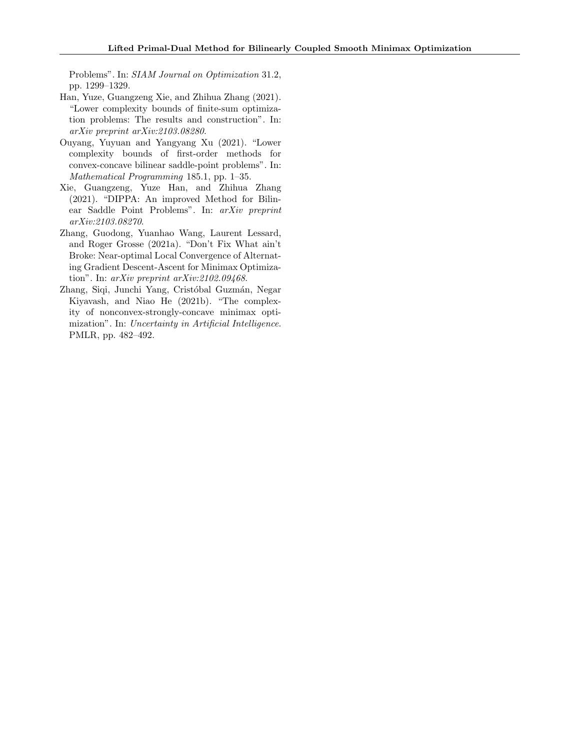Problems". In: SIAM Journal on Optimization 31.2, pp. 1299–1329.

- <span id="page-11-4"></span>Han, Yuze, Guangzeng Xie, and Zhihua Zhang (2021). "Lower complexity bounds of finite-sum optimization problems: The results and construction". In: arXiv preprint arXiv:2103.08280.
- <span id="page-11-2"></span>Ouyang, Yuyuan and Yangyang Xu (2021). "Lower complexity bounds of first-order methods for convex-concave bilinear saddle-point problems". In: Mathematical Programming 185.1, pp. 1–35.
- <span id="page-11-1"></span>Xie, Guangzeng, Yuze Han, and Zhihua Zhang (2021). "DIPPA: An improved Method for Bilinear Saddle Point Problems". In: arXiv preprint arXiv:2103.08270.
- <span id="page-11-3"></span>Zhang, Guodong, Yuanhao Wang, Laurent Lessard, and Roger Grosse (2021a). "Don't Fix What ain't Broke: Near-optimal Local Convergence of Alternating Gradient Descent-Ascent for Minimax Optimization". In: arXiv preprint arXiv:2102.09468.
- <span id="page-11-0"></span>Zhang, Siqi, Junchi Yang, Cristóbal Guzmán, Negar Kiyavash, and Niao He (2021b). "The complexity of nonconvex-strongly-concave minimax optimization". In: Uncertainty in Artificial Intelligence. PMLR, pp. 482–492.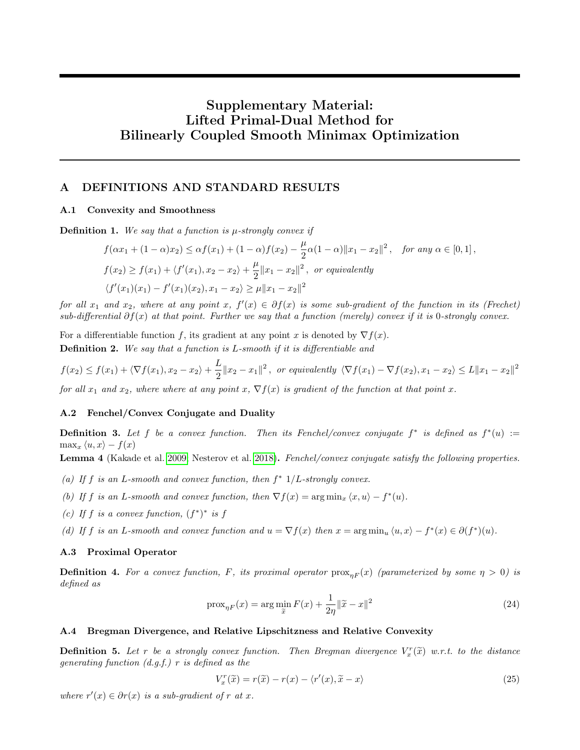# Supplementary Material: Lifted Primal-Dual Method for Bilinearly Coupled Smooth Minimax Optimization

# <span id="page-12-0"></span>A DEFINITIONS AND STANDARD RESULTS

### A.1 Convexity and Smoothness

**Definition 1.** We say that a function is  $\mu$ -strongly convex if

$$
f(\alpha x_1 + (1 - \alpha)x_2) \le \alpha f(x_1) + (1 - \alpha)f(x_2) - \frac{\mu}{2}\alpha(1 - \alpha)||x_1 - x_2||^2, \text{ for any } \alpha \in [0, 1],
$$
  

$$
f(x_2) \ge f(x_1) + \langle f'(x_1), x_2 - x_2 \rangle + \frac{\mu}{2} ||x_1 - x_2||^2, \text{ or equivalently}
$$
  

$$
\langle f'(x_1)(x_1) - f'(x_1)(x_2), x_1 - x_2 \rangle \ge \mu ||x_1 - x_2||^2
$$

for all  $x_1$  and  $x_2$ , where at any point  $x, f'(x) \in \partial f(x)$  is some sub-gradient of the function in its (Frechet) sub-differential  $\partial f(x)$  at that point. Further we say that a function (merely) convex if it is 0-strongly convex.

For a differentiable function f, its gradient at any point x is denoted by  $\nabla f(x)$ . Definition 2. We say that a function is L-smooth if it is differentiable and

$$
f(x_2) \le f(x_1) + \langle \nabla f(x_1), x_2 - x_2 \rangle + \frac{L}{2} \|x_2 - x_1\|^2, \text{ or equivalently } \langle \nabla f(x_1) - \nabla f(x_2), x_1 - x_2 \rangle \le L \|x_1 - x_2\|^2
$$

for all  $x_1$  and  $x_2$ , where where at any point  $x$ ,  $\nabla f(x)$  is gradient of the function at that point x.

### A.2 Fenchel/Convex Conjugate and Duality

**Definition 3.** Let f be a convex function. Then its Fenchel/convex conjugate  $f^*$  is defined as  $f^*(u) :=$  $\max_x \langle u, x \rangle - f(x)$ 

<span id="page-12-1"></span>Lemma 4 (Kakade et al. [2009;](#page-9-24) Nesterov et al. [2018\)](#page-10-3). Fenchel/convex conjugate satisfy the following properties.

- (a) If f is an L-smooth and convex function, then  $f^*$  1/L-strongly convex.
- (b) If f is an L-smooth and convex function, then  $\nabla f(x) = \arg \min_x \langle x, u \rangle f^*(u)$ .
- (c) If f is a convex function,  $(f^*)^*$  is f

(d) If f is an L-smooth and convex function and  $u = \nabla f(x)$  then  $x = \arg \min_u \langle u, x \rangle - f^*(x) \in \partial (f^*)(u)$ .

### A.3 Proximal Operator

**Definition 4.** For a convex function, F, its proximal operator  $prox_{nF}(x)$  (parameterized by some  $n > 0$ ) is defined as

$$
\operatorname{prox}_{\eta F}(x) = \arg\min_{\tilde{x}} F(x) + \frac{1}{2\eta} \|\tilde{x} - x\|^2 \tag{24}
$$

### A.4 Bregman Divergence, and Relative Lipschitzness and Relative Convexity

**Definition 5.** Let r be a strongly convex function. Then Bregman divergence  $V_x^r(\tilde{x})$  w.r.t. to the distance<br>concreting function  $(d, s)$  r is defined as the generating function  $(d.g.f.)$  r is defined as the

$$
V_x^r(\tilde{x}) = r(\tilde{x}) - r(x) - \langle r'(x), \tilde{x} - x \rangle \tag{25}
$$

<span id="page-12-2"></span>where  $r'(x) \in \partial r(x)$  is a sub-gradient of r at x.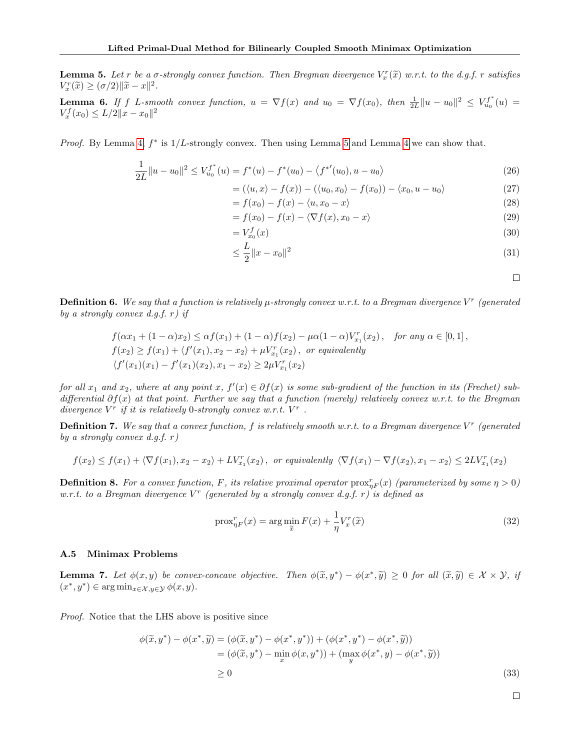**Lemma 5.** Let r be a  $\sigma$ -strongly convex function. Then Bregman divergence  $V_x^r(\tilde{x})$  w.r.t. to the d.g.f. r satisfies  $V_x^r(\tilde{x}) \geq (\sigma/2) \|\tilde{x} - x\|^2$  $V_x^r(\widetilde{x}) \geq (\sigma/2) \|\widetilde{x} - x\|^2.$ 

<span id="page-13-1"></span>**Lemma 6.** If f L-smooth convex function,  $u = \nabla f(x)$  and  $u_0 = \nabla f(x_0)$ , then  $\frac{1}{2L} ||u - u_0||^2 \leq V_{u_0}^{f^*}(u)$  $V_x^f(x_0) \le L/2 \|x - x_0\|^2$ 

*Proof.* By Lemma [4,](#page-12-1)  $f^*$  is  $1/L$ -strongly convex. Then using Lemma [5](#page-12-2) and Lemma [4](#page-12-1) we can show that.

$$
\frac{1}{2L}||u - u_0||^2 \le V_{u_0}^{f^*}(u) = f^*(u) - f^*(u_0) - \langle f^{*'}(u_0), u - u_0 \rangle
$$
\n(26)

$$
= (\langle u, x \rangle - f(x)) - (\langle u_0, x_0 \rangle - f(x_0)) - \langle x_0, u - u_0 \rangle
$$
\n
$$
= f(x_0) - f(x_0) - \langle u, x_0 - x \rangle
$$
\n(27)

$$
= f(x_0) - f(x) - \langle u, x_0 - x \rangle \tag{28}
$$

$$
= f(x_0) - f(x) - \langle \nabla f(x), x_0 - x \rangle \tag{29}
$$

$$
= V_{x_0}^f(x) \tag{30}
$$

$$
\leq \frac{L}{2} \|x - x_0\|^2 \tag{31}
$$

 $\Box$ 

**Definition 6.** We say that a function is relatively  $\mu$ -strongly convex w.r.t. to a Bregman divergence V<sup>r</sup> (generated by a strongly convex d.g.f.  $r$ ) if

$$
f(\alpha x_1 + (1 - \alpha)x_2) \leq \alpha f(x_1) + (1 - \alpha)f(x_2) - \mu\alpha(1 - \alpha)V_{x_1}^r(x_2), \text{ for any } \alpha \in [0, 1],
$$
  

$$
f(x_2) \geq f(x_1) + \langle f'(x_1), x_2 - x_2 \rangle + \mu V_{x_1}^r(x_2), \text{ or equivalently}
$$
  

$$
\langle f'(x_1)(x_1) - f'(x_1)(x_2), x_1 - x_2 \rangle \geq 2\mu V_{x_1}^r(x_2)
$$

for all  $x_1$  and  $x_2$ , where at any point  $x, f'(x) \in \partial f(x)$  is some sub-gradient of the function in its (Frechet) subdifferential  $\partial f(x)$  at that point. Further we say that a function (merely) relatively convex w.r.t. to the Bregman divergence  $V^r$  if it is relatively 0-strongly convex w.r.t.  $V^r$ .

**Definition 7.** We say that a convex function, f is relatively smooth w.r.t. to a Bregman divergence  $V^r$  (generated by a strongly convex d.g.f.  $r$ )

$$
f(x_2) \le f(x_1) + \langle \nabla f(x_1), x_2 - x_2 \rangle + LV_{x_1}^r(x_2), \text{ or equivalently } \langle \nabla f(x_1) - \nabla f(x_2), x_1 - x_2 \rangle \le 2LV_{x_1}^r(x_2)
$$

**Definition 8.** For a convex function, F, its relative proximal operator  $prox_{\eta F}^r(x)$  (parameterized by some  $\eta > 0$ ) w.r.t. to a Bregman divergence  $V^r$  (generated by a strongly convex d.g.f. r) is defined as

$$
\operatorname{prox}_{\eta F}^r(x) = \arg\min_{\widetilde{x}} F(x) + \frac{1}{\eta} V_x^r(\widetilde{x})
$$
\n(32)

#### A.5 Minimax Problems

<span id="page-13-0"></span>**Lemma 7.** Let  $\phi(x, y)$  be convex-concave objective. Then  $\phi(\tilde{x}, y^*) - \phi(x^*, \tilde{y}) \ge 0$  for all  $(\tilde{x}, \tilde{y}) \in \mathcal{X} \times \mathcal{Y}$ , if  $(x^*, y^*) \in \text{argmin}_{\phi(x, y^*)}$  $(x^*, y^*) \in \arg\min_{x \in \mathcal{X}, y \in \mathcal{Y}} \phi(x, y).$ 

Proof. Notice that the LHS above is positive since

$$
\phi(\tilde{x}, y^*) - \phi(x^*, \tilde{y}) = (\phi(\tilde{x}, y^*) - \phi(x^*, y^*)) + (\phi(x^*, y^*) - \phi(x^*, \tilde{y})) \n= (\phi(\tilde{x}, y^*) - \min_x \phi(x, y^*)) + (\max_y \phi(x^*, y) - \phi(x^*, \tilde{y})) \n\ge 0
$$
\n(33)

 $\Box$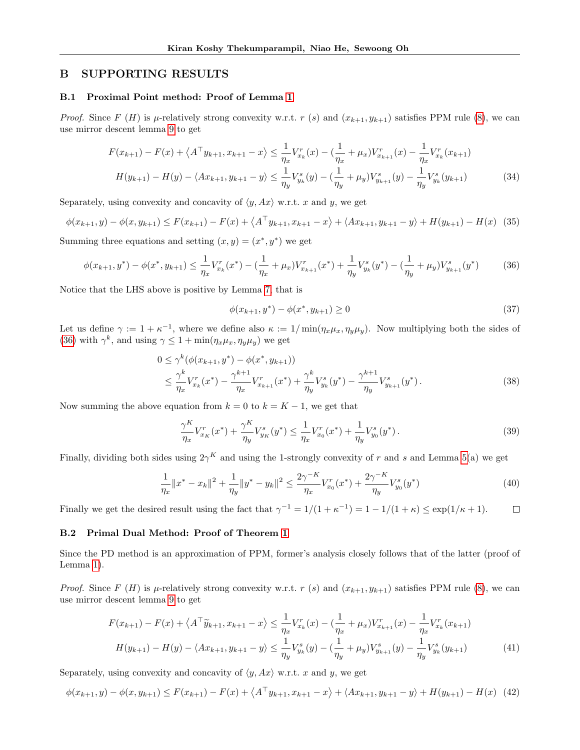# B SUPPORTING RESULTS

#### <span id="page-14-0"></span>B.1 Proximal Point method: Proof of Lemma [1](#page-4-0)

*Proof.* Since F (H) is  $\mu$ -relatively strong convexity w.r.t. r (s) and  $(x_{k+1}, y_{k+1})$  satisfies PPM rule [\(8\)](#page-4-2), we can use mirror descent lemma [9](#page-17-1) to get

$$
F(x_{k+1}) - F(x) + \langle A^{\top} y_{k+1}, x_{k+1} - x \rangle \le \frac{1}{\eta_x} V_{x_k}^r(x) - \left(\frac{1}{\eta_x} + \mu_x\right) V_{x_{k+1}}^r(x) - \frac{1}{\eta_x} V_{x_k}^r(x_{k+1})
$$
  

$$
H(y_{k+1}) - H(y) - \langle Ax_{k+1}, y_{k+1} - y \rangle \le \frac{1}{\eta_y} V_{y_k}^s(y) - \left(\frac{1}{\eta_y} + \mu_y\right) V_{y_{k+1}}^s(y) - \frac{1}{\eta_y} V_{y_k}^s(y_{k+1})
$$
(34)

Separately, using convexity and concavity of  $\langle y, Ax \rangle$  w.r.t. x and y, we get

$$
\phi(x_{k+1}, y) - \phi(x, y_{k+1}) \le F(x_{k+1}) - F(x) + \langle A^{\top} y_{k+1}, x_{k+1} - x \rangle + \langle Ax_{k+1}, y_{k+1} - y \rangle + H(y_{k+1}) - H(x) \tag{35}
$$

Summing three equations and setting  $(x, y) = (x^*, y^*)$  we get

$$
\phi(x_{k+1}, y^*) - \phi(x^*, y_{k+1}) \le \frac{1}{\eta_x} V_{x_k}^r(x^*) - (\frac{1}{\eta_x} + \mu_x) V_{x_{k+1}}^r(x^*) + \frac{1}{\eta_y} V_{y_k}^s(y^*) - (\frac{1}{\eta_y} + \mu_y) V_{y_{k+1}}^s(y^*)
$$
(36)

Notice that the LHS above is positive by Lemma [7,](#page-13-0) that is

<span id="page-14-2"></span>
$$
\phi(x_{k+1}, y^*) - \phi(x^*, y_{k+1}) \ge 0 \tag{37}
$$

Let us define  $\gamma := 1 + \kappa^{-1}$ , where we define also  $\kappa := 1/\min(\eta_x \mu_x, \eta_y \mu_y)$ . Now multiplying both the sides of [\(36\)](#page-14-2) with  $\gamma^k$ , and using  $\gamma \leq 1 + \min(\eta_x \mu_x, \eta_y \mu_y)$  we get

$$
0 \leq \gamma^{k}(\phi(x_{k+1}, y^{*}) - \phi(x^{*}, y_{k+1}))
$$
  
\n
$$
\leq \frac{\gamma^{k}}{\eta_{x}} V_{x_{k}}^{r}(x^{*}) - \frac{\gamma^{k+1}}{\eta_{x}} V_{x_{k+1}}^{r}(x^{*}) + \frac{\gamma^{k}}{\eta_{y}} V_{y_{k}}^{s}(y^{*}) - \frac{\gamma^{k+1}}{\eta_{y}} V_{y_{k+1}}^{s}(y^{*}).
$$
\n(38)

Now summing the above equation from  $k = 0$  to  $k = K - 1$ , we get that

$$
\frac{\gamma^K}{\eta_x} V_{x_K}^r(x^*) + \frac{\gamma^K}{\eta_y} V_{y_K}^s(y^*) \le \frac{1}{\eta_x} V_{x_0}^r(x^*) + \frac{1}{\eta_y} V_{y_0}^s(y^*)\,. \tag{39}
$$

Finally, dividing both sides using  $2\gamma^K$  and using the 1-strongly convexity of r and s and Lemma [5\(](#page-12-2)a) we get

$$
\frac{1}{\eta_x} \|x^* - x_k\|^2 + \frac{1}{\eta_y} \|y^* - y_k\|^2 \le \frac{2\gamma^{-K}}{\eta_x} V_{x_0}^r(x^*) + \frac{2\gamma^{-K}}{\eta_y} V_{y_0}^s(y^*)
$$
\n(40)

Finally we get the desired result using the fact that  $\gamma^{-1} = 1/(1 + \kappa^{-1}) = 1 - 1/(1 + \kappa) \le \exp(1/\kappa + 1)$ .  $\Box$ 

# <span id="page-14-1"></span>B.2 Primal Dual Method: Proof of Theorem [1](#page-4-3)

Since the PD method is an approximation of PPM, former's analysis closely follows that of the latter (proof of Lemma [1\)](#page-4-0).

*Proof.* Since F (H) is  $\mu$ -relatively strong convexity w.r.t. r (s) and  $(x_{k+1}, y_{k+1})$  satisfies PPM rule [\(8\)](#page-4-2), we can use mirror descent lemma [9](#page-17-1) to get

$$
F(x_{k+1}) - F(x) + \langle A^{\top} \tilde{y}_{k+1}, x_{k+1} - x \rangle \le \frac{1}{\eta_x} V_{x_k}^r(x) - \left(\frac{1}{\eta_x} + \mu_x\right) V_{x_{k+1}}^r(x) - \frac{1}{\eta_x} V_{x_k}^r(x_{k+1})
$$
  

$$
H(y_{k+1}) - H(y) - \langle Ax_{k+1}, y_{k+1} - y \rangle \le \frac{1}{\eta_y} V_{y_k}^s(y) - \left(\frac{1}{\eta_y} + \mu_y\right) V_{y_{k+1}}^s(y) - \frac{1}{\eta_y} V_{y_k}^s(y_{k+1})
$$
(41)

Separately, using convexity and concavity of  $\langle y, Ax \rangle$  w.r.t. x and y, we get

$$
\phi(x_{k+1}, y) - \phi(x, y_{k+1}) \le F(x_{k+1}) - F(x) + \langle A^{\top}y_{k+1}, x_{k+1} - x \rangle + \langle Ax_{k+1}, y_{k+1} - y \rangle + H(y_{k+1}) - H(x) \tag{42}
$$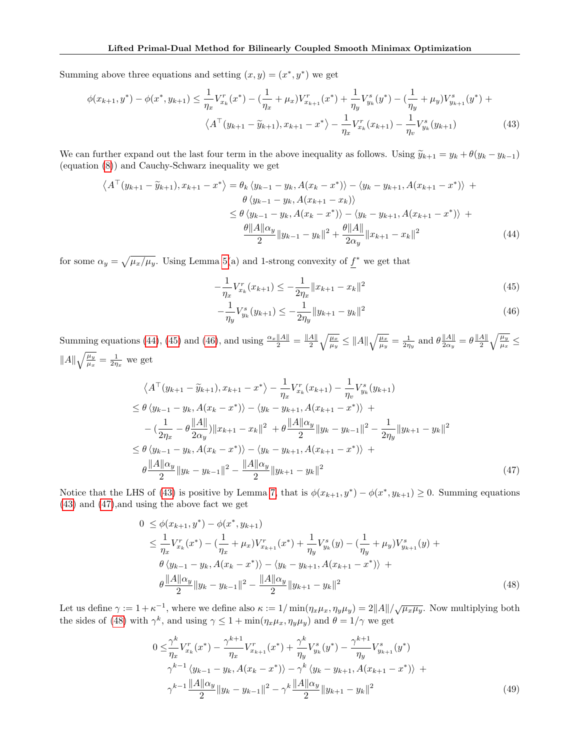Summing above three equations and setting  $(x, y) = (x^*, y^*)$  we get

$$
\phi(x_{k+1}, y^*) - \phi(x^*, y_{k+1}) \le \frac{1}{\eta_x} V_{x_k}^r(x^*) - \left(\frac{1}{\eta_x} + \mu_x\right) V_{x_{k+1}}^r(x^*) + \frac{1}{\eta_y} V_{y_k}^s(y^*) - \left(\frac{1}{\eta_y} + \mu_y\right) V_{y_{k+1}}^s(y^*) + \left(\frac{1}{\eta_x} V_{x_k}^r(y^*) - \frac{1}{\eta_y} V_{y_k}^r(y^*)\right) - \left(\frac{1}{\eta_y} V_{y_k}^s(y^*) - \frac{1}{\eta_y} V_{y_k}^s(y^*)\right) \tag{43}
$$

We can further expand out the last four term in the above inequality as follows. Using  $\tilde{y}_{k+1} = y_k + \theta(y_k - y_{k-1})$ (equation [\(8\)](#page-4-2)) and Cauchy-Schwarz inequality we get

$$
\langle A^{\top}(y_{k+1} - \tilde{y}_{k+1}), x_{k+1} - x^{*} \rangle = \theta_{k} \langle y_{k-1} - y_{k}, A(x_{k} - x^{*}) \rangle - \langle y_{k} - y_{k+1}, A(x_{k+1} - x^{*}) \rangle +
$$
  
\n
$$
\theta \langle y_{k-1} - y_{k}, A(x_{k+1} - x_{k}) \rangle
$$
  
\n
$$
\leq \theta \langle y_{k-1} - y_{k}, A(x_{k} - x^{*}) \rangle - \langle y_{k} - y_{k+1}, A(x_{k+1} - x^{*}) \rangle +
$$
  
\n
$$
\frac{\theta ||A||_{\alpha_{y}}}{2} ||y_{k-1} - y_{k}||^{2} + \frac{\theta ||A||}{2\alpha_{y}} ||x_{k+1} - x_{k}||^{2}
$$
\n(44)

for some  $\alpha_y = \sqrt{\mu_x/\mu_y}$ . Using Lemma [5\(](#page-12-2)a) and 1-strong convexity of  $f^*$  we get that

<span id="page-15-3"></span><span id="page-15-0"></span>
$$
-\frac{1}{\eta_x} V_{x_k}^r(x_{k+1}) \le -\frac{1}{2\eta_x} \|x_{k+1} - x_k\|^2
$$
\n(45)

<span id="page-15-4"></span><span id="page-15-2"></span><span id="page-15-1"></span>
$$
-\frac{1}{\eta_y} V_{y_k}^s(y_{k+1}) \le -\frac{1}{2\eta_y} \|y_{k+1} - y_k\|^2
$$
\n(46)

Summing equations [\(44\)](#page-15-0), [\(45\)](#page-15-1) and [\(46\)](#page-15-2), and using  $\frac{\alpha_x \|A\|}{2} = \frac{\|A\|}{2}$  $\frac{A\|}{2}\sqrt{\frac{\mu_x}{\mu_y}}\leq \|A\|\sqrt{\frac{\mu_x}{\mu_y}}=\frac{1}{2\eta_y} \text{ and } \theta \frac{\|A\|}{2\alpha_y}$  $\frac{\|A\|}{2\alpha_y}=\theta\frac{\|A\|}{2}$  $\frac{A\|}{2}\sqrt{\frac{\mu_{y}}{\mu_{x}}}\leq$  $||A||\sqrt{\frac{\mu_y}{\mu_x}} = \frac{1}{2\eta_x}$  we get

$$
\langle A^{\top}(y_{k+1} - \tilde{y}_{k+1}), x_{k+1} - x^{*} \rangle - \frac{1}{\eta_{x}} V_{x_{k}}^{r}(x_{k+1}) - \frac{1}{\eta_{v}} V_{y_{k}}^{s}(y_{k+1})
$$
  
\n
$$
\leq \theta \langle y_{k-1} - y_{k}, A(x_{k} - x^{*}) \rangle - \langle y_{k} - y_{k+1}, A(x_{k+1} - x^{*}) \rangle +
$$
  
\n
$$
- (\frac{1}{2\eta_{x}} - \theta \frac{||A||}{2\alpha_{y}}) ||x_{k+1} - x_{k}||^{2} + \theta \frac{||A||\alpha_{y}}{2} ||y_{k} - y_{k-1}||^{2} - \frac{1}{2\eta_{y}} ||y_{k+1} - y_{k}||^{2}
$$
  
\n
$$
\leq \theta \langle y_{k-1} - y_{k}, A(x_{k} - x^{*}) \rangle - \langle y_{k} - y_{k+1}, A(x_{k+1} - x^{*}) \rangle +
$$
  
\n
$$
\theta \frac{||A||\alpha_{y}}{2} ||y_{k} - y_{k-1}||^{2} - \frac{||A||\alpha_{y}}{2} ||y_{k+1} - y_{k}||^{2}
$$
\n(47)

Notice that the LHS of [\(43\)](#page-15-3) is positive by Lemma [7,](#page-13-0) that is  $\phi(x_{k+1}, y^*) - \phi(x^*, y_{k+1}) \geq 0$ . Summing equations [\(43\)](#page-15-3) and [\(47\)](#page-15-4),and using the above fact we get

$$
0 \leq \phi(x_{k+1}, y^*) - \phi(x^*, y_{k+1})
$$
  
\n
$$
\leq \frac{1}{\eta_x} V_{x_k}^r(x^*) - (\frac{1}{\eta_x} + \mu_x) V_{x_{k+1}}^r(x^*) + \frac{1}{\eta_y} V_{y_k}^s(y) - (\frac{1}{\eta_y} + \mu_y) V_{y_{k+1}}^s(y) + \theta \langle y_{k-1} - y_k, A(x_k - x^*) \rangle - \langle y_k - y_{k+1}, A(x_{k+1} - x^*) \rangle + \theta \frac{\|A\| \alpha_y}{2} \|y_k - y_{k-1}\|^2 - \frac{\|A\| \alpha_y}{2} \|y_{k+1} - y_k\|^2 \tag{48}
$$

Let us define  $\gamma := 1 + \kappa^{-1}$ , where we define also  $\kappa := 1/\min(\eta_x \mu_x, \eta_y \mu_y) = 2||A||/\sqrt{\mu_x \mu_y}$ . Now multiplying both the sides of [\(48\)](#page-15-5) with  $\gamma^k$ , and using  $\gamma \leq 1 + \min(\eta_x \mu_x, \eta_y \mu_y)$  and  $\theta = 1/\gamma$  we get

<span id="page-15-5"></span>
$$
0 \leq \frac{\gamma^k}{\eta_x} V_{x_k}^r(x^*) - \frac{\gamma^{k+1}}{\eta_x} V_{x_{k+1}}^r(x^*) + \frac{\gamma^k}{\eta_y} V_{y_k}^s(y^*) - \frac{\gamma^{k+1}}{\eta_y} V_{y_{k+1}}^s(y^*)
$$
  

$$
\gamma^{k-1} \langle y_{k-1} - y_k, A(x_k - x^*) \rangle - \gamma^k \langle y_k - y_{k+1}, A(x_{k+1} - x^*) \rangle +
$$
  

$$
\gamma^{k-1} \frac{||A||\alpha_y}{2} ||y_k - y_{k-1}||^2 - \gamma^k \frac{||A||\alpha_y}{2} ||y_{k+1} - y_k||^2
$$
 (49)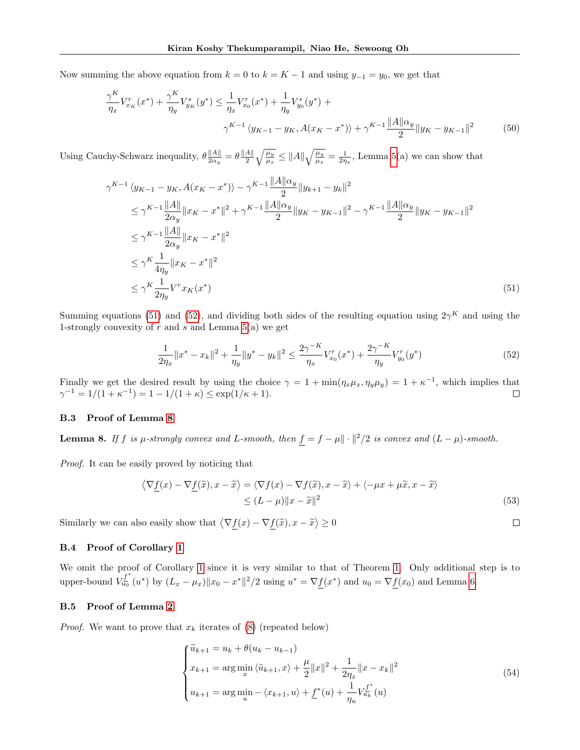Now summing the above equation from  $k = 0$  to  $k = K - 1$  and using  $y_{-1} = y_0$ , we get that

$$
\frac{\gamma^K}{\eta_x} V_{x_K}^r(x^*) + \frac{\gamma^K}{\eta_y} V_{y_K}^s(y^*) \le \frac{1}{\eta_x} V_{x_0}^r(x^*) + \frac{1}{\eta_y} V_{y_0}^s(y^*) + \frac{\gamma^K}{\eta_y} V_{y_0}^s(y^*) + \frac{\gamma^K}{2} \frac{\|A\| \alpha_y}{2} \|y_K - y_{K-1}\|^2 \tag{50}
$$

Using Cauchy-Schwarz inequality,  $\theta \frac{||A||}{2\alpha}$  $\frac{\|A\|}{2\alpha_y}=\theta\frac{\|A\|}{2}$  $\frac{A\|}{2}\sqrt{\frac{\mu_y}{\mu_x}} \leq \|A\|\sqrt{\frac{\mu_y}{\mu_x}} = \frac{1}{2\eta_x}$ , Lemma [5\(](#page-12-2)a) we can show that

$$
\gamma^{K-1} \langle y_{K-1} - y_K, A(x_K - x^*) \rangle - \gamma^{K-1} \frac{\|A\| \alpha_y}{2} \|y_{K+1} - y_K\|^2
$$
  
\n
$$
\leq \gamma^{K-1} \frac{\|A\|}{2\alpha_y} \|x_K - x^*\|^2 + \gamma^{K-1} \frac{\|A\| \alpha_y}{2} \|y_K - y_{K-1}\|^2 - \gamma^{K-1} \frac{\|A\| \alpha_y}{2} \|y_K - y_{K-1}\|^2
$$
  
\n
$$
\leq \gamma^{K-1} \frac{\|A\|}{2\alpha_y} \|x_K - x^*\|^2
$$
  
\n
$$
\leq \gamma^K \frac{1}{4\eta_y} \|x_K - x^*\|^2
$$
  
\n
$$
\leq \gamma^K \frac{1}{2\eta_y} \|x_K - x^*\|^2
$$
  
\n(51)

Summing equations [\(51\)](#page-16-3) and [\(52\)](#page-16-4), and dividing both sides of the resulting equation using  $2\gamma^K$  and using the 1-strongly convexity of  $r$  and  $s$  and Lemma  $5(a)$  we get

$$
\frac{1}{2\eta_x} \|x^* - x_k\|^2 + \frac{1}{\eta_y} \|y^* - y_k\|^2 \le \frac{2\gamma^{-K}}{\eta_x} V_{x_0}^r(x^*) + \frac{2\gamma^{-K}}{\eta_y} V_{y_0}^r(y^*)
$$
\n<sup>(52)</sup>

Finally we get the desired result by using the choice  $\gamma = 1 + \min(\eta_x \mu_x, \eta_y \mu_y) = 1 + \kappa^{-1}$ , which implies that  $\gamma^{-1} = 1/(1 + \kappa^{-1}) = 1 - 1/(1 + \kappa) \le \exp(1/\kappa + 1).$ 

## <span id="page-16-0"></span>B.3 Proof of Lemma [8](#page-16-5)

<span id="page-16-5"></span>**Lemma 8.** If f is  $\mu$ -strongly convex and L-smooth, then  $\underline{f} = f - \mu || \cdot ||^2 / 2$  is convex and  $(L - \mu)$ -smooth.

Proof. It can be easily proved by noticing that

$$
\langle \nabla \underline{f}(x) - \nabla \underline{f}(\tilde{x}), x - \tilde{x} \rangle = \langle \nabla f(x) - \nabla f(\tilde{x}), x - \tilde{x} \rangle + \langle -\mu x + \mu \tilde{x}, x - \tilde{x} \rangle
$$
  
 
$$
\leq (L - \mu) \|x - \tilde{x}\|^2
$$
 (53)

<span id="page-16-4"></span><span id="page-16-3"></span> $\Box$ 

Similarly we can also easily show that  $\langle \nabla \underline{f}(x) - \nabla \underline{f}(\tilde{x}), x - \tilde{x} \rangle \ge 0$ 

### <span id="page-16-1"></span>B.4 Proof of Corollary [1](#page-5-5)

We omit the proof of Corollary [1](#page-5-5) since it is very similar to that of Theorem [1.](#page-4-3) Only additional step is to upper-bound  $V_{u_0}^{\underline{f}^*}$  $\frac{r_a^I}{u_0}(u^*)$  by  $(L_x - \mu_x) ||x_0 - x^*||^2 / 2$  using  $u^* = \nabla f(x^*)$  and  $u_0 = \nabla f(x_0)$  and Lemma [6.](#page-13-1)

### <span id="page-16-2"></span>B.5 Proof of Lemma [2](#page-5-4)

*Proof.* We want to prove that  $x_k$  iterates of [\(8\)](#page-4-2) (repeated below)

$$
\begin{cases}\n\widetilde{u}_{k+1} = u_k + \theta(u_k - u_{k-1}) \\
x_{k+1} = \arg\min_x \langle \widetilde{u}_{k+1}, x \rangle + \frac{\mu}{2} ||x||^2 + \frac{1}{2\eta_x} ||x - x_k||^2 \\
u_{k+1} = \arg\min_u - \langle x_{k+1}, u \rangle + \underline{f}^*(u) + \frac{1}{\eta_u} V_{u_k}^{\underline{f}^*}(u)\n\end{cases} \tag{54}
$$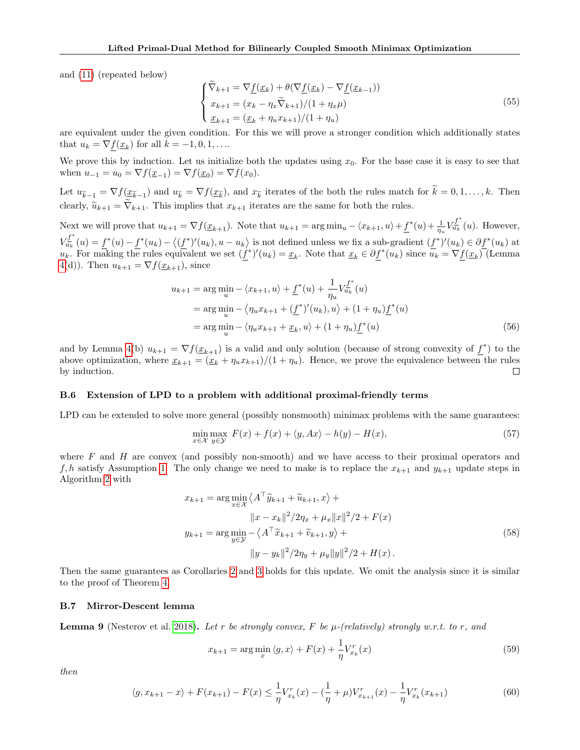and [\(11\)](#page-5-6) (repeated below)

$$
\begin{cases}\n\widetilde{\nabla}_{k+1} = \nabla \underline{f}(\underline{x}_k) + \theta(\nabla \underline{f}(\underline{x}_k) - \nabla \underline{f}(\underline{x}_{k-1})) \\
x_{k+1} = (x_k - \eta_x \widetilde{\nabla}_{k+1})/(1 + \eta_x \mu) \\
\underline{x}_{k+1} = (\underline{x}_k + \eta_u x_{k+1})/(1 + \eta_u)\n\end{cases}
$$
\n(55)

are equivalent under the given condition. For this we will prove a stronger condition which additionally states that  $u_k = \nabla \underline{f}(\underline{x}_k)$  for all  $k = -1, 0, 1, \dots$ 

We prove this by induction. Let us initialize both the updates using  $x_0$ . For the base case it is easy to see that when  $u_{-1} = u_0 = \nabla f(\underline{x}_{-1}) = \nabla f(\underline{x}_0) = \nabla f(x_0)$ .

Let  $u_{\tilde{k}-1} = \nabla f(\underline{x}_{\tilde{k}-1})$  and  $u_{\tilde{k}} = \nabla f(\underline{x}_{\tilde{k}})$ , and  $x_{\tilde{k}}$  iterates of the both the rules match for  $k = 0, 1, ..., k$ . Then clearly,  $\tilde{u}_{k+1} = \tilde{\nabla}_{k+1}$ . This implies that  $x_{k+1}$  iterates are the same for both the rules.

Next we will prove that  $u_{k+1} = \nabla f(\underline{x}_{k+1})$ . Note that  $u_{k+1} = \arg \min_u - \langle x_{k+1}, u \rangle + \underline{f}^*(u) + \frac{1}{\eta_u} V_{u_k}^{\underline{f}^*}$  $\frac{u}{u_k}(u)$ . However,  $V_{u_k}^{f^*}$  $\frac{f_{u_k}^f}{u_k}(u) = \frac{f^*(u) - f^*(u_k) - \langle (f^*)'(u_k), u - u_k \rangle}{\langle (f^*)'(u_k), u - u_k \rangle}$  is not defined unless we fix a sub-gradient  $(f^*)'(u_k) \in \partial f^*(u_k)$  at  $u_k$ . For making the rules equivalent we set  $(\underline{f}^*)'(u_k) = \underline{x}_k$ . Note that  $\underline{x}_k \in \partial \underline{f}^*(u_k)$  since  $\overline{u}_k = \nabla \underline{f}(\underline{x}_k)$  (Lemma [4\(](#page-12-1)d)). Then  $u_{k+1} = \nabla f(\underline{x}_{k+1})$ , since

$$
u_{k+1} = \arg\min_{u} - \langle x_{k+1}, u \rangle + \underline{f}^*(u) + \frac{1}{\eta_u} V_{u_k}^{\underline{f}^*}(u)
$$
  
= 
$$
\arg\min_{u} - \langle \eta_u x_{k+1} + (\underline{f}^*)'(u_k), u \rangle + (1 + \eta_u) \underline{f}^*(u)
$$
  
= 
$$
\arg\min_{u} - \langle \eta_u x_{k+1} + \underline{x}_k, u \rangle + (1 + \eta_u) \underline{f}^*(u)
$$
 (56)

and by Lemma [4\(](#page-12-1)b)  $u_{k+1} = \nabla f(\underline{x}_{k+1})$  is a valid and only solution (because of strong convexity of  $\underline{f}^*$ ) to the above optimization, where  $\underline{x}_{k+1} = (\underline{x}_k + \eta_u x_{k+1})/(1 + \eta_u)$ . Hence, we prove the equivalence between the rules by induction.  $\Box$ 

### <span id="page-17-0"></span>B.6 Extension of LPD to a problem with additional proximal-friendly terms

LPD can be extended to solve more general (possibly nonsmooth) minimax problems with the same guarantees:

$$
\min_{x \in \mathcal{X}} \max_{y \in \mathcal{Y}} F(x) + f(x) + \langle y, Ax \rangle - h(y) - H(x),\tag{57}
$$

where  $F$  and  $H$  are convex (and possibly non-smooth) and we have access to their proximal operators and f, h satisfy Assumption [1.](#page-3-1) The only change we need to make is to replace the  $x_{k+1}$  and  $y_{k+1}$  update steps in Algorithm [2](#page-18-0) with

$$
x_{k+1} = \arg\min_{x \in \mathcal{X}} \left\langle A^{\top} \tilde{y}_{k+1} + \tilde{u}_{k+1}, x \right\rangle +
$$
  
\n
$$
||x - x_k||^2 / 2\eta_x + \mu_x ||x||^2 / 2 + F(x)
$$
  
\n
$$
y_{k+1} = \arg\min_{y \in \mathcal{Y}} - \left\langle A^{\top} \tilde{x}_{k+1} + \tilde{v}_{k+1}, y \right\rangle +
$$
  
\n
$$
||y - y_k||^2 / 2\eta_y + \mu_y ||y||^2 / 2 + H(x).
$$
\n(58)

Then the same guarantees as Corollaries [2](#page-22-0) and [3](#page-24-0) holds for this update. We omit the analysis since it is similar to the proof of Theorem [4.](#page-18-1)

### <span id="page-17-1"></span>B.7 Mirror-Descent lemma

**Lemma 9** (Nesterov et al. [2018\)](#page-10-3). Let r be strongly convex, F be  $\mu$ -(relatively) strongly w.r.t. to r, and

$$
x_{k+1} = \arg\min_{x} \langle g, x \rangle + F(x) + \frac{1}{\eta} V_{x_k}^r(x)
$$
\n(59)

then

$$
\langle g, x_{k+1} - x \rangle + F(x_{k+1}) - F(x) \le \frac{1}{\eta} V_{x_k}^r(x) - \left(\frac{1}{\eta} + \mu\right) V_{x_{k+1}}^r(x) - \frac{1}{\eta} V_{x_k}^r(x_{k+1})
$$
(60)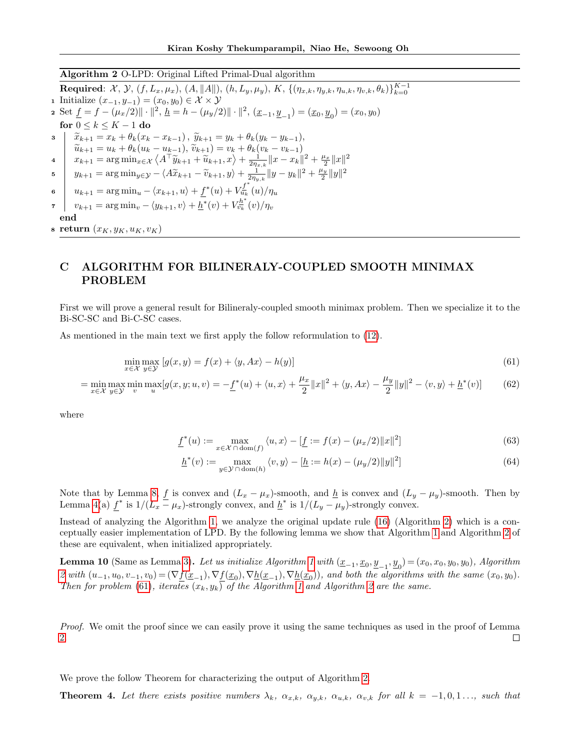### <span id="page-18-0"></span>Algorithm 2 O-LPD: Original Lifted Primal-Dual algorithm

 ${\bf Required}\colon\thinspace {\cal X},\thinspace {\cal Y},\thinspace (f,L_x,\mu_x),\thinspace (A,\|A\|),\thinspace (h,L_y,\mu_y),\thinspace K,\thinspace \{(\eta_{x,k},\eta_{y,k},\eta_{u,k},\eta_{v,k},\theta_k)\}_{k=0}^{K-1}$ 1 Initialize  $(x_{-1}, y_{-1}) = (x_0, y_0) \in \mathcal{X} \times \mathcal{Y}$ 2 Set  $\underline{f} = f - (\mu_x/2) || \cdot ||^2$ ,  $\underline{h} = h - (\mu_y/2) || \cdot ||^2$ ,  $(\underline{x}_{-1}, \underline{y}_{-1}) = (\underline{x}_0, \underline{y}_0) = (x_0, y_0)$ for  $0 \leq k \leq K - 1$  do 3  $\widetilde{x}_{k+1} = x_k + \theta_k(x_k - x_{k-1}), \widetilde{y}_{k+1} = y_k + \theta_k(y_k - y_{k-1}),$ <br> $\widetilde{y}_{k+1} = y_k + \theta_k(y_k - y_{k-1}),$  $\widetilde{u}_{k+1} = u_k + \theta_k (u_k - u_{k-1}), \widetilde{v}_{k+1} = v_k + \theta_k (v_k - v_{k-1})$ <br>  $x_{k+1} = \arg \min_{x \in \mathcal{X}} \left\langle A^\top \widetilde{y}_{k+1} + \widetilde{u}_{k+1}, x \right\rangle + \frac{1}{2\eta_{x,k}} ||x - x_k||^2 + \frac{\mu_x}{2} ||x||^2$  $\|y_{k+1} = \arg\min_{y \in \mathcal{Y}} -\langle A\widetilde{x}_{k+1} - \widetilde{v}_{k+1}, y \rangle + \frac{1}{2\pi y_{y,k}} \|y - y_k\|^2 + \frac{\mu_y}{2} \|y\|^2$ 6  $u_{k+1} = \arg \min_u - \langle x_{k+1}, u \rangle + f^*(u) + V_{u_k}^{\underline{f}^*}$  $\tilde{u}_{u_k}^L(u)/\eta_u$  $\begin{array}{cc} \tau & v_{k+1} = \arg \min_v - \langle y_{k+1}, v \rangle + \overline{h}^*(v) + V_{v_k}^{h^*}(v) / \eta_v \end{array}$ end s return  $(x_K, y_K, u_K, v_K)$ 

# C ALGORITHM FOR BILINERALY-COUPLED SMOOTH MINIMAX PROBLEM

First we will prove a general result for Bilineraly-coupled smooth minimax problem. Then we specialize it to the Bi-SC-SC and Bi-C-SC cases.

As mentioned in the main text we first apply the follow reformulation to [\(12\)](#page-5-2).

$$
\min_{x \in \mathcal{X}} \max_{y \in \mathcal{Y}} \left[ g(x, y) = f(x) + \langle y, Ax \rangle - h(y) \right] \tag{61}
$$

$$
= \min_{x \in \mathcal{X}} \max_{y \in \mathcal{Y}} \min_{v} \max_{u} [g(x, y; u, v)] = -\underline{f}^*(u) + \langle u, x \rangle + \frac{\mu_x}{2} ||x||^2 + \langle y, Ax \rangle - \frac{\mu_y}{2} ||y||^2 - \langle v, y \rangle + \underline{h}^*(v)] \tag{62}
$$

where

<span id="page-18-2"></span>
$$
\underline{f}^*(u) := \max_{x \in \mathcal{X} \cap \text{dom}(f)} \langle u, x \rangle - [\underline{f} := f(x) - (\mu_x/2) ||x||^2]
$$
(63)

$$
\underline{h}^*(v) := \max_{y \in \mathcal{Y} \cap \text{dom}(h)} \langle v, y \rangle - [\underline{h} := h(x) - (\mu_y/2) ||y||^2]
$$
(64)

Note that by Lemma [8,](#page-16-5)  $\underline{f}$  is convex and  $(L_x - \mu_x)$ -smooth, and  $\underline{h}$  is convex and  $(L_y - \mu_y)$ -smooth. Then by Lemma [4\(](#page-12-1)a)  $f^*$  is  $1/(L_x - \mu_x)$ -strongly convex, and  $\underline{h}^*$  is  $1/(L_y - \mu_y)$ -strongly convex.

Instead of analyzing the Algorithm [1,](#page-6-2) we analyze the original update rule [\(16\)](#page-6-3) (Algorithm [2\)](#page-18-0) which is a conceptually easier implementation of LPD. By the following lemma we show that Algorithm [1](#page-6-2) and Algorithm [2](#page-18-0) of these are equivalent, when initialized appropriately.

**Lemma [1](#page-6-2)0** (Same as Lemma [3\)](#page-6-7). Let us initialize Algorithm 1 with  $(\underline{x}_{-1}, \underline{x}_0, \underline{y}_{-1}, \underline{y}_0) = (x_0, x_0, y_0, y_0)$ , Algorithm [2](#page-18-0) with  $(u_{-1}, u_0, v_{-1}, v_0) = (\nabla \underline{f}(\underline{x}_{-1}), \nabla \underline{f}(\underline{x}_0), \nabla \underline{h}(\underline{x}_{-1}), \nabla \underline{h}(\underline{x}_0)),$  and both the algorithms with the same  $(x_0, y_0)$ . Then for problem [\(61\)](#page-18-2), iterates  $(x_k, y_k)$  of the Algorithm [1](#page-6-2) and Algorithm [2](#page-18-0) are the same.

Proof. We omit the proof since we can easily prove it using the same techniques as used in the proof of Lemma [2.](#page-5-4)  $\Box$ 

<span id="page-18-1"></span>We prove the follow Theorem for characterizing the output of Algorithm [2.](#page-18-0)

**Theorem 4.** Let there exists positive numbers  $\lambda_k$ ,  $\alpha_{x,k}$ ,  $\alpha_{y,k}$ ,  $\alpha_{u,k}$ ,  $\alpha_{v,k}$  for all  $k = -1, 0, 1, \ldots$ , such that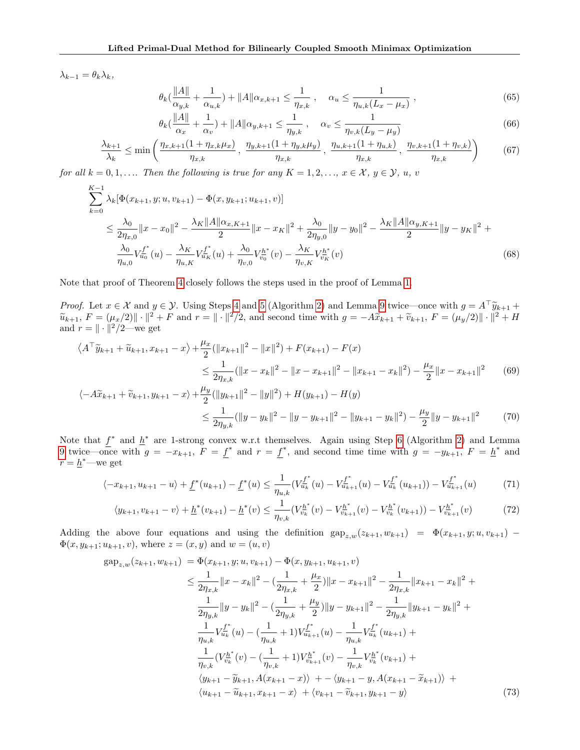$\lambda_{k-1} = \theta_k \lambda_k,$ 

<span id="page-19-3"></span><span id="page-19-2"></span>
$$
\theta_k(\frac{\|A\|}{\alpha_{y,k}} + \frac{1}{\alpha_{u,k}}) + \|A\|\alpha_{x,k+1} \le \frac{1}{\eta_{x,k}}, \quad \alpha_u \le \frac{1}{\eta_{u,k}(L_x - \mu_x)},
$$
\n(65)

<span id="page-19-1"></span>
$$
\theta_k(\frac{\|A\|}{\alpha_x} + \frac{1}{\alpha_v}) + \|A\| \alpha_{y,k+1} \le \frac{1}{\eta_{y,k}}, \quad \alpha_v \le \frac{1}{\eta_{v,k}(L_y - \mu_y)}
$$
(66)

$$
\frac{\lambda_{k+1}}{\lambda_k} \le \min\left(\frac{\eta_{x,k+1}(1+\eta_{x,k}\mu_x)}{\eta_{x,k}}, \frac{\eta_{y,k+1}(1+\eta_{y,k}\mu_y)}{\eta_{x,k}}, \frac{\eta_{u,k+1}(1+\eta_{u,k})}{\eta_{x,k}}, \frac{\eta_{v,k+1}(1+\eta_{v,k})}{\eta_{x,k}}\right) \tag{67}
$$

for all  $k = 0, 1, \ldots$  Then the following is true for any  $K = 1, 2, \ldots, x \in \mathcal{X}, y \in \mathcal{Y}, u, v$ 

$$
\sum_{k=0}^{K-1} \lambda_k [\Phi(x_{k+1}, y; u, v_{k+1}) - \Phi(x, y_{k+1}; u_{k+1}, v)]
$$
\n
$$
\leq \frac{\lambda_0}{2\eta_{x,0}} \|x - x_0\|^2 - \frac{\lambda_K \|A\|\alpha_{x,K+1}}{2} \|x - x_K\|^2 + \frac{\lambda_0}{2\eta_{y,0}} \|y - y_0\|^2 - \frac{\lambda_K \|A\|\alpha_{y,K+1}}{2} \|y - y_K\|^2 + \frac{\lambda_0}{\eta_{u,0}} V_{u_0}^{f^*}(u) - \frac{\lambda_K}{\eta_{u,K}} V_{u_K}^{f^*}(u) + \frac{\lambda_0}{\eta_{v,0}} V_{v_0}^{h^*}(v) - \frac{\lambda_K}{\eta_{v,K}} V_{v_K}^{h^*}(v) \tag{68}
$$

Note that proof of Theorem [4](#page-18-1) closely follows the steps used in the proof of Lemma [1.](#page-4-0)

*Proof.* Let  $x \in \mathcal{X}$  and  $y \in \mathcal{Y}$ . Using Steps [4](#page-6-5) and [5](#page-6-6) (Algorithm [2\)](#page-18-0) and Lemma [9](#page-17-1) twice—once with  $g = A^T \tilde{y}_{k+1} + \tilde{y}_{k+1} + \tilde{y}_{k+1} + \tilde{y}_{k+1} + \tilde{y}_{k+1} + \tilde{y}_{k+1} + \tilde{y}_{k+1} + \tilde{y}_{k+1} + \tilde{y}_{k+1} + \tilde{y}_{k+1} + \$  $\widetilde{u}_{k+1}, F = (\mu_x/2) \| \cdot \|^{2} + F$  and  $r = \| \cdot \|^{2}/2$ , and second time with  $g = -A\widetilde{x}_{k+1} + \widetilde{v}_{k+1}, F = (\mu_y/2) \| \cdot \|^{2} + H$ and  $r = || \cdot ||^2 / 2$ —we get

$$
\langle A^{\top} \tilde{y}_{k+1} + \tilde{u}_{k+1}, x_{k+1} - x \rangle + \frac{\mu_x}{2} (\|x_{k+1}\|^2 - \|x\|^2) + F(x_{k+1}) - F(x)
$$
  
\n
$$
\leq \frac{1}{2\eta_{x,k}} (\|x - x_k\|^2 - \|x - x_{k+1}\|^2 - \|x_{k+1} - x_k\|^2) - \frac{\mu_x}{2} \|x - x_{k+1}\|^2 \tag{69}
$$

$$
\langle -A\widetilde{x}_{k+1} + \widetilde{v}_{k+1}, y_{k+1} - x \rangle + \frac{\mu_y}{2} (\|y_{k+1}\|^2 - \|y\|^2) + H(y_{k+1}) - H(y)
$$
  

$$
\leq \frac{1}{2\eta_{y,k}} (\|y - y_k\|^2 - \|y - y_{k+1}\|^2 - \|y_{k+1} - y_k\|^2) - \frac{\mu_y}{2} \|y - y_{k+1}\|^2 \tag{70}
$$

Note that  $f^*$  and  $h^*$  are 1-strong convex w.r.t themselves. Again using Step [6](#page-6-8) (Algorithm [2\)](#page-18-0) and Lemma [9](#page-17-1) twice—once with  $g = -x_{k+1}$ ,  $F = f^*$  and  $r = f^*$ , and second time time with  $g = -y_{k+1}$ ,  $F = h^*$  and  $r = \underline{h}^*$  – we get

$$
\langle -x_{k+1}, u_{k+1} - u \rangle + \underline{f}^*(u_{k+1}) - \underline{f}^*(u) \le \frac{1}{\eta_{u,k}} \left( V_{u_k}^{\underline{f}^*}(u) - V_{u_{k+1}}^{\underline{f}^*}(u) - V_{u_k}^{\underline{f}^*}(u_{k+1}) \right) - V_{u_{k+1}}^{\underline{f}^*}(u) \tag{71}
$$

$$
\langle y_{k+1}, v_{k+1} - v \rangle + \underline{h}^*(v_{k+1}) - \underline{h}^*(v) \le \frac{1}{\eta_{v,k}} (V_{v_k}^{\underline{h}^*}(v) - V_{v_{k+1}}^{\underline{h}^*}(v) - V_{v_k}^{\underline{h}^*}(v_{k+1})) - V_{v_{k+1}}^{\underline{h}^*}(v) \tag{72}
$$

Adding the above four equations and using the definition  $\text{gap}_{z,w}(z_{k+1}, w_{k+1}) = \Phi(x_{k+1}, y; u, v_{k+1}) \Phi(x, y_{k+1}; u_{k+1}, v)$ , where  $z = (x, y)$  and  $w = (u, v)$ 

<span id="page-19-0"></span>
$$
gap_{z,w}(z_{k+1}, w_{k+1}) = \Phi(x_{k+1}, y; u, v_{k+1}) - \Phi(x, y_{k+1}, u_{k+1}, v)
$$
  
\n
$$
\leq \frac{1}{2\eta_{x,k}} \|x - x_k\|^2 - (\frac{1}{2\eta_{x,k}} + \frac{\mu_x}{2}) \|x - x_{k+1}\|^2 - \frac{1}{2\eta_{x,k}} \|x_{k+1} - x_k\|^2 +
$$
  
\n
$$
\frac{1}{2\eta_{y,k}} \|y - y_k\|^2 - (\frac{1}{2\eta_{y,k}} + \frac{\mu_y}{2}) \|y - y_{k+1}\|^2 - \frac{1}{2\eta_{y,k}} \|y_{k+1} - y_k\|^2 +
$$
  
\n
$$
\frac{1}{\eta_{u,k}} V_{u_k}^{f^*}(u) - (\frac{1}{\eta_{u,k}} + 1) V_{u_{k+1}}^{f^*}(u) - \frac{1}{\eta_{u,k}} V_{u_k}^{f^*}(u_{k+1}) +
$$
  
\n
$$
\frac{1}{\eta_{v,k}} (V_{v_k}^{h^*}(v) - (\frac{1}{\eta_{v,k}} + 1) V_{v_{k+1}}^{h^*}(v) - \frac{1}{\eta_{v,k}} V_{v_k}^{h^*}(v_{k+1}) +
$$
  
\n
$$
\langle y_{k+1} - \tilde{y}_{k+1}, A(x_{k+1} - x) \rangle + - \langle y_{k+1} - y, A(x_{k+1} - \tilde{x}_{k+1}) \rangle +
$$
  
\n
$$
\langle u_{k+1} - \tilde{u}_{k+1}, x_{k+1} - x \rangle + \langle v_{k+1} - \tilde{v}_{k+1}, y_{k+1} - y \rangle \tag{73}
$$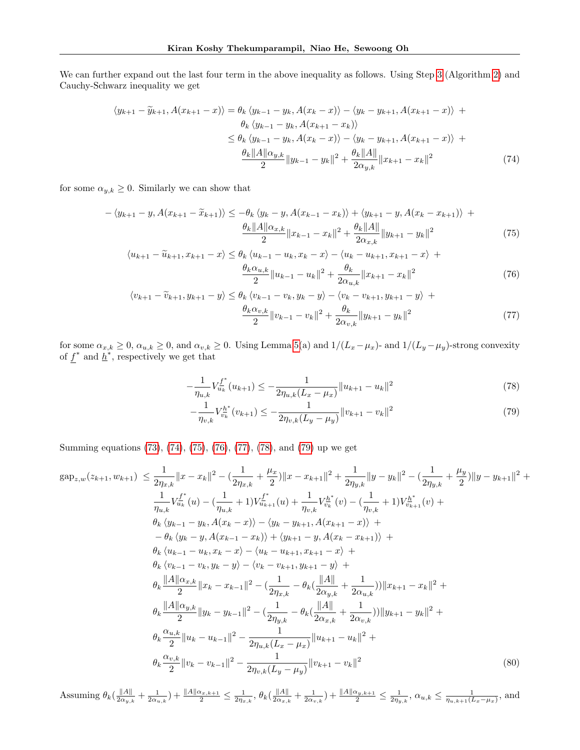We can further expand out the last four term in the above inequality as follows. Using Step [3](#page-6-4) (Algorithm [2\)](#page-18-0) and Cauchy-Schwarz inequality we get

$$
\langle y_{k+1} - \widetilde{y}_{k+1}, A(x_{k+1} - x) \rangle = \theta_k \langle y_{k-1} - y_k, A(x_k - x) \rangle - \langle y_k - y_{k+1}, A(x_{k+1} - x) \rangle +
$$
  
\n
$$
\theta_k \langle y_{k-1} - y_k, A(x_{k+1} - x_k) \rangle
$$
  
\n
$$
\leq \theta_k \langle y_{k-1} - y_k, A(x_k - x) \rangle - \langle y_k - y_{k+1}, A(x_{k+1} - x) \rangle +
$$
  
\n
$$
\frac{\theta_k ||A|| \alpha_{y,k}}{2} ||y_{k-1} - y_k||^2 + \frac{\theta_k ||A||}{2 \alpha_{y,k}} ||x_{k+1} - x_k||^2
$$
\n(74)

for some  $\alpha_{y,k} \geq 0$ . Similarly we can show that

$$
-\langle y_{k+1} - y, A(x_{k+1} - \tilde{x}_{k+1}) \rangle \le -\theta_k \langle y_k - y, A(x_{k-1} - x_k) \rangle + \langle y_{k+1} - y, A(x_k - x_{k+1}) \rangle +
$$
  

$$
\frac{\theta_k \|A\| \alpha_{x,k}}{2} \|x_{k-1} - x_k\|^2 + \frac{\theta_k \|A\|}{2\alpha_{x,k}} \|y_{k+1} - y_k\|^2
$$
(75)

<span id="page-20-0"></span>
$$
\langle u_{k+1} - \tilde{u}_{k+1}, x_{k+1} - x \rangle \le \theta_k \langle u_{k-1} - u_k, x_k - x \rangle - \langle u_k - u_{k+1}, x_{k+1} - x \rangle +
$$
  

$$
\frac{\theta_k \alpha_{u,k}}{2} ||u_{k-1} - u_k||^2 + \frac{\theta_k}{2\alpha_{u,k}} ||x_{k+1} - x_k||^2
$$
(76)

$$
\langle v_{k+1} - \widetilde{v}_{k+1}, y_{k+1} - y \rangle \le \theta_k \langle v_{k-1} - v_k, y_k - y \rangle - \langle v_k - v_{k+1}, y_{k+1} - y \rangle +
$$
  

$$
\frac{\theta_k \alpha_{v,k}}{2} ||v_{k-1} - v_k||^2 + \frac{\theta_k}{2\alpha_{v,k}} ||y_{k+1} - y_k||^2
$$
 (77)

for some  $\alpha_{x,k} \geq 0$ ,  $\alpha_{u,k} \geq 0$ , and  $\alpha_{v,k} \geq 0$ . Using Lemma [5\(](#page-12-2)a) and  $1/(L_x-\mu_x)$ - and  $1/(L_y-\mu_y)$ -strong convexity of  $f^*$  and  $\underline{h}^*$ , respectively we get that

<span id="page-20-3"></span><span id="page-20-2"></span><span id="page-20-1"></span>
$$
-\frac{1}{\eta_{u,k}}V_{u_k}^{f^*}(u_{k+1}) \le -\frac{1}{2\eta_{u,k}(L_x - \mu_x)}||u_{k+1} - u_k||^2
$$
\n(78)

<span id="page-20-5"></span><span id="page-20-4"></span>
$$
-\frac{1}{\eta_{v,k}}V_{v_k}^{h^*}(v_{k+1}) \le -\frac{1}{2\eta_{v,k}(L_y - \mu_y)}\|v_{k+1} - v_k\|^2
$$
\n(79)

Summing equations [\(73\)](#page-19-0), [\(74\)](#page-20-0), [\(75\)](#page-20-1), [\(76\)](#page-20-2), [\(77\)](#page-20-3), [\(78\)](#page-20-4), and [\(79\)](#page-20-5) up we get

$$
gap_{z,w}(z_{k+1}, w_{k+1}) \leq \frac{1}{2\eta_{x,k}} ||x - x_k||^2 - (\frac{1}{2\eta_{x,k}} + \frac{\mu_x}{2}) ||x - x_{k+1}||^2 + \frac{1}{2\eta_{y,k}} ||y - y_k||^2 - (\frac{1}{2\eta_{y,k}} + \frac{\mu_y}{2}) ||y - y_{k+1}||^2 + \frac{1}{\eta_{u,k}} V_{u_k}^{f^*}(u) - (\frac{1}{\eta_{u,k}} + 1) V_{u_{k+1}}^{f^*}(u) + \frac{1}{\eta_{v,k}} V_{v_k}^{h^*}(v) - (\frac{1}{\eta_{v,k}} + 1) V_{v_{k+1}}^{h^*}(v) + \theta_k \langle y_{k-1} - y_k, A(x_k - x) \rangle - \langle y_k - y_{k+1}, A(x_{k+1} - x) \rangle + \n- \theta_k \langle y_k - y, A(x_{k-1} - x_k) \rangle + \langle y_{k+1} - y, A(x_k - x_{k+1}) \rangle + \theta_k \langle u_{k-1} - u_k, x_k - x \rangle - \langle u_k - u_{k+1}, x_{k+1} - x \rangle + \theta_k \langle v_{k-1} - v_k, y_k - y \rangle - \langle v_k - v_{k+1}, y_{k+1} - y \rangle + \theta_k \frac{\|A\|\alpha_{x,k}}{2} ||x_k - x_{k-1}||^2 - (\frac{1}{2\eta_{x,k}} - \theta_k (\frac{\|A\|}{2\alpha_{y,k}} + \frac{1}{2\alpha_{u,k}})) ||x_{k+1} - x_k||^2 + \theta_k \frac{\|A\|\alpha_{y,k}}{2} ||y_k - y_{k-1}||^2 - (\frac{1}{2\eta_{y,k}} - \theta_k (\frac{\|A\|}{2\alpha_{x,k}} + \frac{1}{2\alpha_{v,k}})) ||y_{k+1} - y_k||^2 + \theta_k \frac{\alpha_{u,k}}{2} ||u_k - u_{k-1}||^2 - \frac{1}{2\eta_{u,k}(L_x - \mu_x)} ||u_{k+1} - u_k||^2 + \theta_k \frac{\alpha_{v,k}}{2} ||v_k - v_{k-1}||^2 - \frac{1}{2\eta_{v,k}(L_y - \mu_y)} ||v_{k+1} - v_k||^2
$$
\n(80)

Assuming  $\theta_k(\frac{\|A\|}{2\alpha_{k+1}})$  $\frac{\|A\|}{2\alpha_{y,k}} + \frac{1}{2\alpha_{u,k}}$ ) +  $\frac{\|A\|\alpha_{x,k+1}}{2} \leq \frac{1}{2\eta_{x,k}}, \theta_k(\frac{\|A\|}{2\alpha_{x,k}})$  $\frac{\|A\|}{2\alpha_{x,k}} + \frac{1}{2\alpha_{v,k}}$  +  $\frac{\|A\|\alpha_{y,k+1}}{2} \le \frac{1}{2\eta_{y,k}}$ ,  $\alpha_{u,k} \le \frac{1}{\eta_{u,k+1}(L_x-\mu_x)}$ , and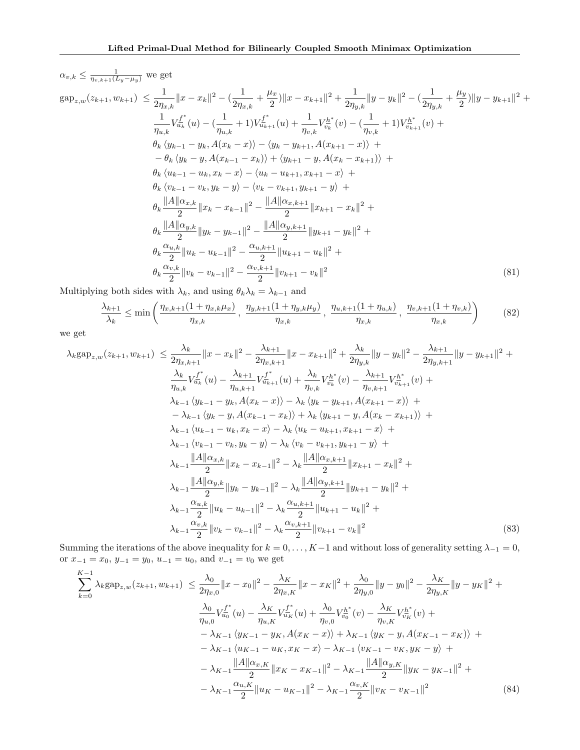$$
\alpha_{v,k} \leq \frac{1}{\eta_{v,k+1}(L_y - \mu_y)} \text{ we get}
$$
\n
$$
\text{gap}_{z,w}(z_{k+1}, w_{k+1}) \leq \frac{1}{2\eta_{x,k}} \|x - x_k\|^2 - \left(\frac{1}{2\eta_{x,k}} + \frac{\mu_x}{2}\right) \|x - x_{k+1}\|^2 + \frac{1}{2\eta_{y,k}} \|y - y_k\|^2 - \left(\frac{1}{2\eta_{y,k}} + \frac{\mu_y}{2}\right) \|y - y_{k+1}\|^2 + \frac{1}{\eta_{u,k}} V_{u_k}^{f^*}(u) - \left(\frac{1}{\eta_{u,k}} + 1\right) V_{u_{k+1}}^{f^*}(u) + \frac{1}{\eta_{v,k}} V_{v_k}^{h^*}(v) - \left(\frac{1}{\eta_{v,k}} + 1\right) V_{v_{k+1}}^{h^*}(v) + \frac{\theta_k \left(y_{k-1} - y_k, A(x_k - x)\right) - \left(y_k - y_{k+1}, A(x_{k+1} - x)\right) + \frac{\theta_k \left(y_k - y, A(x_{k-1} - x_k)\right) + \left(y_{k+1} - y, A(x_k - x_{k+1})\right) + \frac{\theta_k \left(y_{k-1} - u_k, x_k - x\right) - \left\langle u_k - u_{k+1}, x_{k+1} - x\right\rangle + \frac{\theta_k \left(u_{k-1} - u_k, x_k - x\right) - \left\langle u_k - u_{k+1}, x_{k+1} - x\right\rangle + \frac{\theta_k \left\|A\|\alpha_{x,k}}{\left\|u_{k-1} - v_k, y_k - y\right\rangle - \left\langle v_k - v_{k+1}, y_{k+1} - y\right\rangle + \frac{\theta_k \left\|A\|\alpha_{x,k}}{\left\|2\right\|u_k - x_{k-1}\right\|^2 - \frac{\|A\|\alpha_{x,k+1}}{\left\|2\right\|u_{k+1}} - \frac{\|x\|^2}{2} + \frac{\theta_k \frac{\|A\|\alpha_{y,k}}{\left\|2\right\|u_k - u_{k-1}\|^2 - \frac{\alpha_{u,k+1}}{\left\|2\right\|u_{k+1}} - u_k\|^2 + \frac{\alpha_{u,k}}{\left\|2\right\|u_k - u_{k-1}\|^2 - \frac{\alpha_{u,k+1}}
$$

Multiplying both sides with  $\lambda_k$ , and using  $\theta_k \lambda_k = \lambda_{k-1}$  and

$$
\frac{\lambda_{k+1}}{\lambda_k} \le \min\left(\frac{\eta_{x,k+1}(1+\eta_{x,k}\mu_x)}{\eta_{x,k}}, \frac{\eta_{y,k+1}(1+\eta_{y,k}\mu_y)}{\eta_{x,k}}, \frac{\eta_{u,k+1}(1+\eta_{u,k})}{\eta_{x,k}}, \frac{\eta_{v,k+1}(1+\eta_{v,k})}{\eta_{x,k}}\right) \tag{82}
$$

we get

$$
\lambda_{k} \text{gap}_{z,w}(z_{k+1}, w_{k+1}) \leq \frac{\lambda_{k}}{2\eta_{x,k+1}} \|x - x_{k}\|^{2} - \frac{\lambda_{k+1}}{2\eta_{x,k+1}} \|x - x_{k+1}\|^{2} + \frac{\lambda_{k}}{2\eta_{y,k}} \|y - y_{k}\|^{2} - \frac{\lambda_{k+1}}{2\eta_{y,k+1}} \|y - y_{k+1}\|^{2} + \frac{\lambda_{k}}{\eta_{u,k}} V_{u_{k}}^{t*}(u) - \frac{\lambda_{k+1}}{\eta_{u,k+1}} V_{u_{k+1}}^{t*}(u) + \frac{\lambda_{k}}{\eta_{u,k+1}} V_{u_{k+1}}^{h*}(v) + \lambda_{k-1} \langle y_{k-1} - y_{k-1} A(x_{k-1} - x) \rangle - \lambda_{k} \langle y_{k} - y_{k+1} A(x_{k+1} - x) \rangle + \lambda_{k-1} \langle y_{k-1} - y_{k-1} A(x_{k-1} - x) \rangle + \lambda_{k-1} \langle y_{k-1} - y_{k-1} A(x_{k-1} - x) \rangle + \lambda_{k-1} \langle y_{k-1} - u_{k-1} x_{k-1} - x_{k-1} \rangle + \lambda_{k-1} \langle v_{k-1} - u_{k-1} x_{k-1} - x \rangle - \lambda_{k} \langle v_{k} - u_{k+1} x_{k+1} - x \rangle + \lambda_{k-1} \langle v_{k-1} - v_{k-1} y_{k-1} - y \rangle - \lambda_{k} \langle v_{k} - v_{k+1} y_{k+1} - y \rangle + \lambda_{k-1} \frac{\|A\| \alpha_{x,k}}{2} \|x_{k} - x_{k-1} \|^2 - \lambda_{k} \frac{\|A\| \alpha_{x,k+1}}{2} \|x_{k+1} - x_{k} \|^2 + \lambda_{k-1} \frac{\|A\| \alpha_{y,k}}{2} \|y_{k} - y_{k-1} \|^2 - \lambda_{k} \frac{\|A\| \alpha_{y,k+1}}{2} \|y_{k+1} - u_{k} \|^2 + \lambda_{k-1} \frac{\alpha_{u,k}}{2} \|u_{k} - u_{k-1} \|^2 - \lambda_{k} \frac{\alpha_{u,k+1}}{2} \|u_{k+1} - u_{k} \|^2 +
$$

Summing the iterations of the above inequality for  $k = 0, \ldots, K-1$  and without loss of generality setting  $\lambda_{-1} = 0$ , or  $x_{-1} = x_0$ ,  $y_{-1} = y_0$ ,  $u_{-1} = u_0$ , and  $v_{-1} = v_0$  we get

<span id="page-21-0"></span>
$$
\sum_{k=0}^{K-1} \lambda_k \text{gap}_{z,w}(z_{k+1}, w_{k+1}) \le \frac{\lambda_0}{2\eta_{x,0}} \|x - x_0\|^2 - \frac{\lambda_K}{2\eta_{x,K}} \|x - x_K\|^2 + \frac{\lambda_0}{2\eta_{y,0}} \|y - y_0\|^2 - \frac{\lambda_K}{2\eta_{y,K}} \|y - y_K\|^2 + \frac{\lambda_0}{\eta_{u,0}} V_{u_0}^{f^*}(u) - \frac{\lambda_K}{\eta_{u,0}} V_{u_K}^{f^*}(u) + \frac{\lambda_0}{\eta_{v,0}} V_{v_0}^{h^*}(v) - \frac{\lambda_K}{\eta_{v,K}} V_{v_K}^{h^*}(v) + \frac{\lambda_{K-1} \langle y_{K-1} - y_K, A(x_K - x) \rangle + \lambda_{K-1} \langle y_K - y, A(x_{K-1} - x_K) \rangle + \frac{\lambda_{K-1} \langle y_{K-1} - u_K, x_K - x \rangle - \lambda_{K-1} \langle v_{K-1} - v_K, y_K - y \rangle + \frac{\|A\|\alpha_{x,K}}{2} \|x_K - x_{K-1}\|^2 - \lambda_{K-1} \frac{\|A\|\alpha_{y,K}}{2} \|y_K - y_{K-1}\|^2 + \frac{\alpha_{u,K}}{2} \|u_K - u_{K-1}\|^2 - \lambda_{K-1} \frac{\alpha_{v,K}}{2} \|v_K - v_{K-1}\|^2 \tag{84}
$$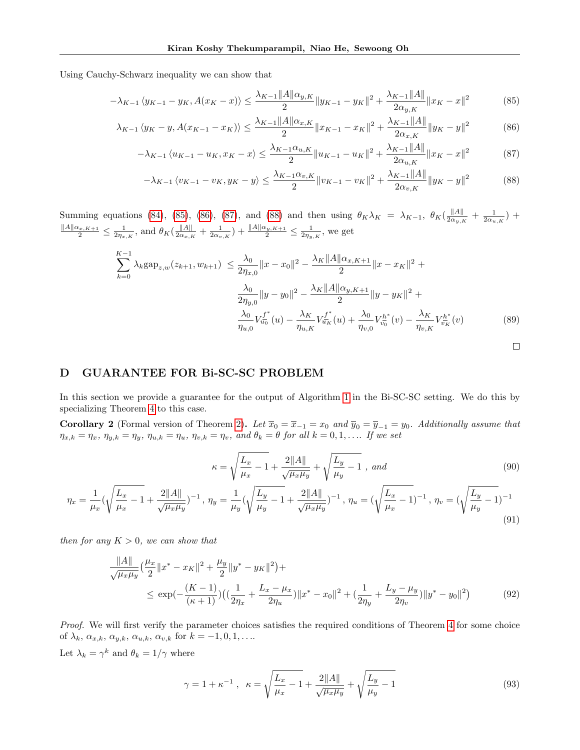Using Cauchy-Schwarz inequality we can show that

$$
-\lambda_{K-1} \langle y_{K-1} - y_K, A(x_K - x) \rangle \le \frac{\lambda_{K-1} \|A\| \alpha_{y,K}}{2} \|y_{K-1} - y_K\|^2 + \frac{\lambda_{K-1} \|A\|}{2\alpha_{y,K}} \|x_K - x\|^2 \tag{85}
$$

$$
\lambda_{K-1} \left\langle y_K - y, A(x_{K-1} - x_K) \right\rangle \le \frac{\lambda_{K-1} \|A\| \alpha_{x,K}}{2} \|x_{K-1} - x_K\|^2 + \frac{\lambda_{K-1} \|A\|}{2\alpha_{x,K}} \|y_K - y\|^2 \tag{86}
$$

$$
-\lambda_{K-1} \langle u_{K-1} - u_K, x_K - x \rangle \le \frac{\lambda_{K-1} \alpha_{u,K}}{2} \| u_{K-1} - u_K \|^2 + \frac{\lambda_{K-1} \|A\|}{2 \alpha_{u,K}} \|x_K - x\|^2 \tag{87}
$$

<span id="page-22-4"></span><span id="page-22-3"></span><span id="page-22-2"></span><span id="page-22-1"></span>
$$
-\lambda_{K-1} \left\langle v_{K-1} - v_K, y_K - y \right\rangle \le \frac{\lambda_{K-1} \alpha_{v,K}}{2} \|v_{K-1} - v_K\|^2 + \frac{\lambda_{K-1} \|A\|}{2 \alpha_{v,K}} \|y_K - y\|^2 \tag{88}
$$

Summing equations [\(84\)](#page-21-0), [\(85\)](#page-22-1), [\(86\)](#page-22-2), [\(87\)](#page-22-3), and [\(88\)](#page-22-4) and then using  $\theta_K \lambda_K = \lambda_{K-1}$ ,  $\theta_K (\frac{\|A\|}{2\alpha_{K-1}})$  $\frac{\|A\|}{2\alpha_{y,K}} + \frac{1}{2\alpha_{u,K}}$ ) +  $\frac{\|A\| \alpha_{x,K+1}}{2} \leq \frac{1}{2\eta_{x,K}}$ , and  $\theta_K(\frac{\|A\|}{2\alpha_{x,B}})$  $\frac{\|A\|}{2\alpha_{x,K}} + \frac{1}{2\alpha_{v,K}}$  +  $\frac{\|A\|\alpha_{y,K+1}}{2} \le \frac{1}{2\eta_{y,K}}$ , we get

$$
\sum_{k=0}^{K-1} \lambda_k \text{gap}_{z,w}(z_{k+1}, w_{k+1}) \le \frac{\lambda_0}{2\eta_{x,0}} \|x - x_0\|^2 - \frac{\lambda_K \|A\|\alpha_{x,K+1}}{2} \|x - x_K\|^2 +
$$

$$
\frac{\lambda_0}{2\eta_{y,0}} \|y - y_0\|^2 - \frac{\lambda_K \|A\|\alpha_{y,K+1}}{2} \|y - y_K\|^2 +
$$

$$
\frac{\lambda_0}{\eta_{u,0}} V_{u_0}^{f^*}(u) - \frac{\lambda_K}{\eta_{u,K}} V_{u_K}^{f^*}(u) + \frac{\lambda_0}{\eta_{v,0}} V_{v_0}^{h^*}(v) - \frac{\lambda_K}{\eta_{v,K}} V_{v_K}^{h^*}(v) \tag{89}
$$

### D GUARANTEE FOR Bi-SC-SC PROBLEM

In this section we provide a guarantee for the output of Algorithm [1](#page-6-2) in the Bi-SC-SC setting. We do this by specializing Theorem [4](#page-18-1) to this case.

<span id="page-22-0"></span>**Corollary 2** (Formal version of Theorem [2\)](#page-6-0). Let  $\overline{x}_0 = \overline{x}_{-1} = x_0$  and  $\overline{y}_0 = \overline{y}_{-1} = y_0$ . Additionally assume that  $\eta_{x,k} = \eta_x, \eta_{y,k} = \eta_y, \eta_{u,k} = \eta_u, \eta_{v,k} = \eta_v, \text{ and } \theta_k = \theta \text{ for all } k = 0,1,\dots$  If we set

$$
\kappa = \sqrt{\frac{L_x}{\mu_x} - 1} + \frac{2||A||}{\sqrt{\mu_x \mu_y}} + \sqrt{\frac{L_y}{\mu_y} - 1}, \text{ and}
$$
\n(90)

$$
\eta_x = \frac{1}{\mu_x} \left( \sqrt{\frac{L_x}{\mu_x} - 1} + \frac{2||A||}{\sqrt{\mu_x \mu_y}} \right)^{-1}, \ \eta_y = \frac{1}{\mu_y} \left( \sqrt{\frac{L_y}{\mu_y} - 1} + \frac{2||A||}{\sqrt{\mu_x \mu_y}} \right)^{-1}, \ \eta_u = \left( \sqrt{\frac{L_x}{\mu_x} - 1} \right)^{-1}, \ \eta_v = \left( \sqrt{\frac{L_y}{\mu_y} - 1} \right)^{-1} \tag{91}
$$

then for any  $K > 0$ , we can show that

$$
\frac{\|A\|}{\sqrt{\mu_x \mu_y}} \left(\frac{\mu_x}{2} \|x^* - x_K\|^2 + \frac{\mu_y}{2} \|y^* - y_K\|^2\right) +
$$
\n
$$
\le \exp\left(-\frac{(K-1)}{(\kappa+1)}\right) \left(\left(\frac{1}{2\eta_x} + \frac{L_x - \mu_x}{2\eta_u}\right) \|x^* - x_0\|^2 + \left(\frac{1}{2\eta_y} + \frac{L_y - \mu_y}{2\eta_v}\right) \|y^* - y_0\|^2\right) \tag{92}
$$

Proof. We will first verify the parameter choices satisfies the required conditions of Theorem [4](#page-18-1) for some choice of  $\lambda_k$ ,  $\alpha_{x,k}$ ,  $\alpha_{y,k}$ ,  $\alpha_{u,k}$ ,  $\alpha_{v,k}$  for  $k = -1, 0, 1, \ldots$ . Let  $\lambda_k = \gamma^k$  and  $\theta_k = 1/\gamma$  where

$$
\gamma = 1 + \kappa^{-1} , \quad \kappa = \sqrt{\frac{L_x}{\mu_x} - 1} + \frac{2||A||}{\sqrt{\mu_x \mu_y}} + \sqrt{\frac{L_y}{\mu_y} - 1}
$$
\n(93)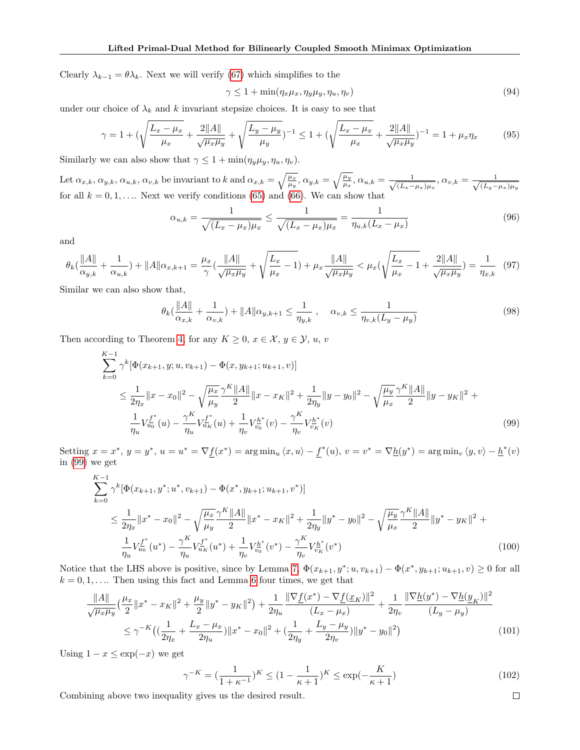Clearly  $\lambda_{k-1} = \theta \lambda_k$ . Next we will verify [\(67\)](#page-19-1) which simplifies to the

$$
\gamma \le 1 + \min(\eta_x \mu_x, \eta_y \mu_y, \eta_u, \eta_v) \tag{94}
$$

under our choice of  $\lambda_k$  and k invariant stepsize choices. It is easy to see that

$$
\gamma = 1 + \left(\sqrt{\frac{L_x - \mu_x}{\mu_x}} + \frac{2\|A\|}{\sqrt{\mu_x \mu_y}} + \sqrt{\frac{L_y - \mu_y}{\mu_y}}\right)^{-1} \le 1 + \left(\sqrt{\frac{L_x - \mu_x}{\mu_x}} + \frac{2\|A\|}{\sqrt{\mu_x \mu_y}}\right)^{-1} = 1 + \mu_x \eta_x \tag{95}
$$

Similarly we can also show that  $\gamma \leq 1 + \min(\eta_y \mu_y, \eta_u, \eta_v)$ .

Let  $\alpha_{x,k}, \alpha_{y,k}, \alpha_{u,k}, \alpha_{v,k}$  be invariant to k and  $\alpha_{x,k} = \sqrt{\frac{\mu_x}{\mu_y}}, \alpha_{y,k} = \sqrt{\frac{\mu_y}{\mu_x}}, \alpha_{u,k} = \frac{1}{\sqrt{(\mu_x - \mu_y)}}$  $\frac{1}{(L_x-\mu_x)\mu_x}, \alpha_{v,k}=\frac{1}{\sqrt{(L_y-\mu_x)}}$  $(L_y-\mu_x)\mu_y$ for all  $k = 0, 1, \ldots$  Next we verify conditions [\(65\)](#page-19-2) and [\(66\)](#page-19-3). We can show that

$$
\alpha_{u,k} = \frac{1}{\sqrt{(L_x - \mu_x)\mu_x}} \le \frac{1}{\sqrt{(L_x - \mu_x)\mu_x}} = \frac{1}{\eta_{u,k}(L_x - \mu_x)}
$$
(96)

and

$$
\theta_k(\frac{\|A\|}{\alpha_{y,k}} + \frac{1}{\alpha_{u,k}}) + \|A\|\alpha_{x,k+1} = \frac{\mu_x}{\gamma}(\frac{\|A\|}{\sqrt{\mu_x \mu_y}} + \sqrt{\frac{L_x}{\mu_x} - 1}) + \mu_x \frac{\|A\|}{\sqrt{\mu_x \mu_y}} < \mu_x(\sqrt{\frac{L_x}{\mu_x} - 1} + \frac{2\|A\|}{\sqrt{\mu_x \mu_y}}) = \frac{1}{\eta_{x,k}} \tag{97}
$$

Similar we can also show that,

$$
\theta_k(\frac{\|A\|}{\alpha_{x,k}} + \frac{1}{\alpha_{v,k}}) + \|A\|\alpha_{y,k+1} \le \frac{1}{\eta_{y,k}}, \quad \alpha_{v,k} \le \frac{1}{\eta_{v,k}(L_y - \mu_y)}
$$
(98)

Then according to Theorem [4,](#page-18-1) for any  $K \geq 0$ ,  $x \in \mathcal{X}, y \in \mathcal{Y}, u, v$ 

$$
\sum_{k=0}^{K-1} \gamma^{k} [\Phi(x_{k+1}, y; u, v_{k+1}) - \Phi(x, y_{k+1}; u_{k+1}, v)]
$$
\n
$$
\leq \frac{1}{2\eta_x} ||x - x_0||^2 - \sqrt{\frac{\mu_x}{\mu_y}} \frac{\gamma^K ||A||}{2} ||x - x_K||^2 + \frac{1}{2\eta_y} ||y - y_0||^2 - \sqrt{\frac{\mu_y}{\mu_x}} \frac{\gamma^K ||A||}{2} ||y - y_K||^2 + \frac{1}{\eta_u} V_{u_0}^{f^*}(u) - \frac{\gamma^K}{\eta_u} V_{u_K}^{f^*}(u) + \frac{1}{\eta_v} V_{v_0}^{h^*}(v) - \frac{\gamma^K}{\eta_v} V_{v_K}^{h^*}(v) \tag{99}
$$

Setting  $x = x^*$ ,  $y = y^*$ ,  $u = u^* = \nabla f(x^*) = \arg \min_u \langle x, u \rangle - f^*(u)$ ,  $v = v^* = \nabla \underline{h}(y^*) = \arg \min_v \langle y, v \rangle - \underline{h}^*(v)$ in [\(99\)](#page-23-0) we get

$$
\sum_{k=0}^{K-1} \gamma^{k} [\Phi(x_{k+1}, y^*; u^*, v_{k+1}) - \Phi(x^*, y_{k+1}; u_{k+1}, v^*)]
$$
\n
$$
\leq \frac{1}{2\eta_x} \|x^* - x_0\|^2 - \sqrt{\frac{\mu_x}{\mu_y}} \frac{\gamma^K \|A\|}{2} \|x^* - x_K\|^2 + \frac{1}{2\eta_y} \|y^* - y_0\|^2 - \sqrt{\frac{\mu_y}{\mu_x}} \frac{\gamma^K \|A\|}{2} \|y^* - y_K\|^2 + \frac{1}{\eta_u} V_{u_0}^{f^*}(u^*) - \frac{\gamma^K}{\eta_u} V_{u_K}^{f^*}(u^*) + \frac{1}{\eta_v} V_{v_0}^{h^*}(v^*) - \frac{\gamma^K}{\eta_v} V_{v_K}^{h^*}(v^*)
$$
\n(100)

Notice that the LHS above is positive, since by Lemma [7,](#page-13-0)  $\Phi(x_{k+1}, y^*; u, v_{k+1}) - \Phi(x^*, y_{k+1}; u_{k+1}, v) \ge 0$  for all  $k = 0, 1, \ldots$  Then using this fact and Lemma [6](#page-13-1) four times, we get that

$$
\frac{\|A\|}{\sqrt{\mu_x \mu_y}} \left(\frac{\mu_x}{2} \|x^* - x_K\|^2 + \frac{\mu_y}{2} \|y^* - y_K\|^2\right) + \frac{1}{2\eta_u} \frac{\|\nabla f(x^*) - \nabla f(x_K)\|^2}{(L_x - \mu_x)} + \frac{1}{2\eta_v} \frac{\|\nabla \underline{h}(y^*) - \nabla \underline{h}(y_K)\|^2}{(L_y - \mu_y)} \\\leq \gamma^{-K} \left( \left(\frac{1}{2\eta_x} + \frac{L_x - \mu_x}{2\eta_u}\right) \|x^* - x_0\|^2 + \left(\frac{1}{2\eta_y} + \frac{L_y - \mu_y}{2\eta_v}\right) \|y^* - y_0\|^2 \right) \tag{101}
$$

Using  $1 - x \leq \exp(-x)$  we get

$$
\gamma^{-K} = \left(\frac{1}{1+\kappa^{-1}}\right)^K \le \left(1 - \frac{1}{\kappa+1}\right)^K \le \exp\left(-\frac{K}{\kappa+1}\right) \tag{102}
$$

<span id="page-23-0"></span> $\Box$ 

Combining above two inequality gives us the desired result.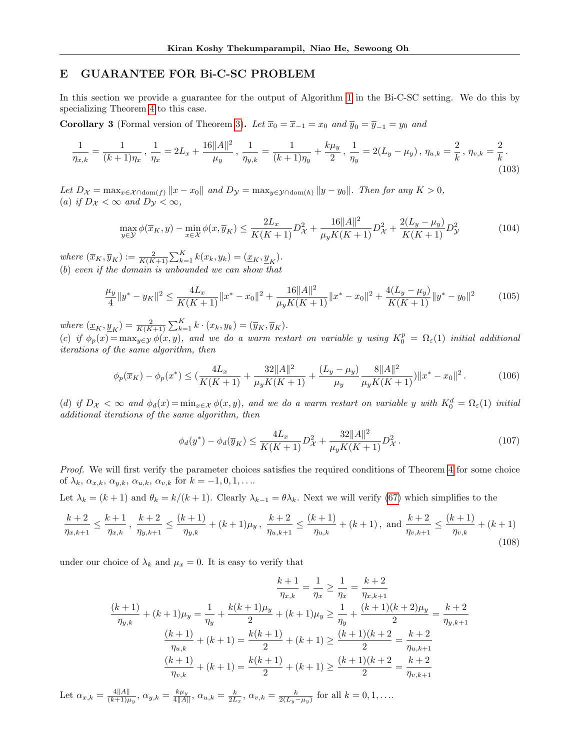# E GUARANTEE FOR Bi-C-SC PROBLEM

In this section we provide a guarantee for the output of Algorithm [1](#page-6-2) in the Bi-C-SC setting. We do this by specializing Theorem [4](#page-18-1) to this case.

<span id="page-24-0"></span>**Corollary 3** (Formal version of Theorem [3\)](#page-7-1). Let  $\overline{x}_0 = \overline{x}_{-1} = x_0$  and  $\overline{y}_0 = \overline{y}_{-1} = y_0$  and

$$
\frac{1}{\eta_{x,k}} = \frac{1}{(k+1)\eta_x}, \ \frac{1}{\eta_x} = 2L_x + \frac{16\|A\|^2}{\mu_y}, \ \frac{1}{\eta_{y,k}} = \frac{1}{(k+1)\eta_y} + \frac{k\mu_y}{2}, \ \frac{1}{\eta_y} = 2(L_y - \mu_y), \ \eta_{u,k} = \frac{2}{k}, \ \eta_{v,k} = \frac{2}{k}.
$$
\n(103)

Let  $D_{\mathcal{X}} = \max_{x \in \mathcal{X} \cap \text{dom}(f)} ||x - x_0||$  and  $D_{\mathcal{Y}} = \max_{y \in \mathcal{Y} \cap \text{dom}(h)} ||y - y_0||$ . Then for any  $K > 0$ , (a) if  $D_{\mathcal{X}} < \infty$  and  $D_{\mathcal{Y}} < \infty$ ,

$$
\max_{y \in \mathcal{Y}} \phi(\overline{x}_K, y) - \min_{x \in \mathcal{X}} \phi(x, \overline{y}_K) \le \frac{2L_x}{K(K+1)} D_{\mathcal{X}}^2 + \frac{16||A||^2}{\mu_y K(K+1)} D_{\mathcal{X}}^2 + \frac{2(L_y - \mu_y)}{K(K+1)} D_{\mathcal{Y}}^2
$$
(104)

where  $(\overline{x}_K, \overline{y}_K) := \frac{2}{K(K+1)} \sum_{k=1}^K k(x_k, y_k) = (\underline{x}_K, \underline{y}_K).$ (b) even if the domain is unbounded we can show that

$$
\frac{\mu_y}{4} \|y^* - y_K\|^2 \le \frac{4L_x}{K(K+1)} \|x^* - x_0\|^2 + \frac{16\|A\|^2}{\mu_y K(K+1)} \|x^* - x_0\|^2 + \frac{4(L_y - \mu_y)}{K(K+1)} \|y^* - y_0\|^2 \tag{105}
$$

where  $(\underline{x}_K, \underline{y}_K) = \frac{2}{K(K+1)} \sum_{k=1}^K k \cdot (x_k, y_k) = (\overline{y}_K, \overline{y}_K).$ 

(c) if  $\phi_p(x) = \max_{y \in \mathcal{Y}} \phi(x, y)$ , and we do a warm restart on variable y using  $K_0^p = \Omega_{\varepsilon}(1)$  initial additional iterations of the same algorithm, then

$$
\phi_p(\overline{x}_K) - \phi_p(x^*) \le \left(\frac{4L_x}{K(K+1)} + \frac{32||A||^2}{\mu_y K(K+1)} + \frac{(L_y - \mu_y)}{\mu_y} \frac{8||A||^2}{\mu_y K(K+1)}\right) ||x^* - x_0||^2. \tag{106}
$$

(d) if  $D_{\mathcal{X}} < \infty$  and  $\phi_d(x) = \min_{x \in \mathcal{X}} \phi(x, y)$ , and we do a warm restart on variable y with  $K_0^d = \Omega_{\varepsilon}(1)$  initial additional iterations of the same algorithm, then

$$
\phi_d(y^*) - \phi_d(\overline{y}_K) \le \frac{4L_x}{K(K+1)} D_X^2 + \frac{32||A||^2}{\mu_y K(K+1)} D_X^2.
$$
\n(107)

Proof. We will first verify the parameter choices satisfies the required conditions of Theorem [4](#page-18-1) for some choice of  $\lambda_k$ ,  $\alpha_{x,k}$ ,  $\alpha_{y,k}$ ,  $\alpha_{u,k}$ ,  $\alpha_{v,k}$  for  $k = -1, 0, 1, \ldots$ .

Let  $\lambda_k = (k+1)$  and  $\theta_k = k/(k+1)$ . Clearly  $\lambda_{k-1} = \theta \lambda_k$ . Next we will verify [\(67\)](#page-19-1) which simplifies to the

$$
\frac{k+2}{\eta_{x,k+1}} \le \frac{k+1}{\eta_{x,k}}, \ \frac{k+2}{\eta_{y,k+1}} \le \frac{(k+1)}{\eta_{y,k}} + (k+1)\mu_y, \ \frac{k+2}{\eta_{u,k+1}} \le \frac{(k+1)}{\eta_{u,k}} + (k+1), \text{ and } \frac{k+2}{\eta_{v,k+1}} \le \frac{(k+1)}{\eta_{v,k}} + (k+1)
$$
\n(108)

under our choice of  $\lambda_k$  and  $\mu_x = 0$ . It is easy to verify that

$$
\frac{k+1}{\eta_{x,k}} = \frac{1}{\eta_x} \ge \frac{1}{\eta_x} = \frac{k+2}{\eta_{x,k+1}}
$$

$$
\frac{(k+1)}{\eta_{y,k}} + (k+1)\mu_y = \frac{1}{\eta_y} + \frac{k(k+1)\mu_y}{2} + (k+1)\mu_y \ge \frac{1}{\eta_y} + \frac{(k+1)(k+2)\mu_y}{2} = \frac{k+2}{\eta_{y,k+1}}
$$

$$
\frac{(k+1)}{\eta_{u,k}} + (k+1) = \frac{k(k+1)}{2} + (k+1) \ge \frac{(k+1)(k+2)}{2} = \frac{k+2}{\eta_{u,k+1}}
$$

$$
\frac{(k+1)}{\eta_{v,k}} + (k+1) = \frac{k(k+1)}{2} + (k+1) \ge \frac{(k+1)(k+2)}{2} = \frac{k+2}{\eta_{v,k+1}}
$$

Let  $\alpha_{x,k} = \frac{4||A||}{(k+1)u}$  $\frac{4||A||}{(k+1)\mu_y}, \ \alpha_{y,k} = \frac{k\mu_y}{4||A||}, \ \alpha_{u,k} = \frac{k}{2L_x}, \ \alpha_{v,k} = \frac{k}{2(L_y-\mu_y)}$  for all  $k = 0, 1, \ldots$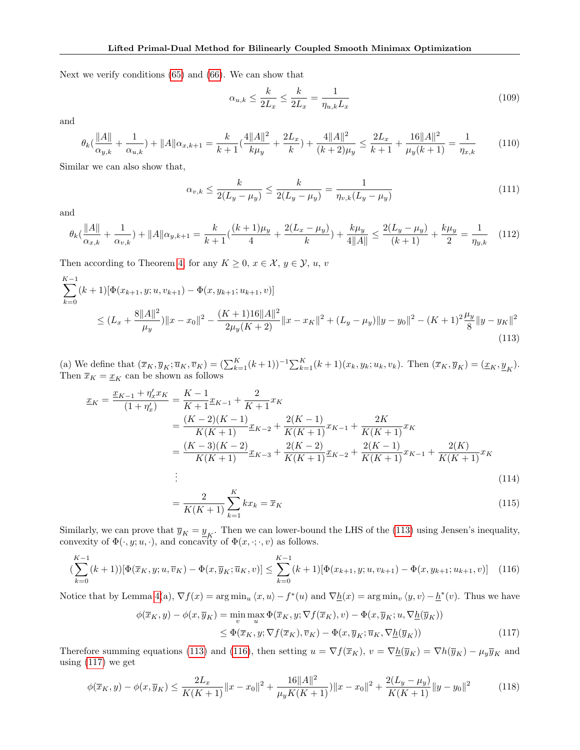Next we verify conditions [\(65\)](#page-19-2) and [\(66\)](#page-19-3). We can show that

$$
\alpha_{u,k} \le \frac{k}{2L_x} \le \frac{k}{2L_x} = \frac{1}{\eta_{u,k}L_x} \tag{109}
$$

and

$$
\theta_k(\frac{\|A\|}{\alpha_{y,k}} + \frac{1}{\alpha_{u,k}}) + \|A\|\alpha_{x,k+1} = \frac{k}{k+1}(\frac{4\|A\|^2}{k\mu_y} + \frac{2L_x}{k}) + \frac{4\|A\|^2}{(k+2)\mu_y} \le \frac{2L_x}{k+1} + \frac{16\|A\|^2}{\mu_y(k+1)} = \frac{1}{\eta_{x,k}} \tag{110}
$$

Similar we can also show that,

<span id="page-25-0"></span>
$$
\alpha_{v,k} \le \frac{k}{2(L_y - \mu_y)} \le \frac{k}{2(L_y - \mu_y)} = \frac{1}{\eta_{v,k}(L_y - \mu_y)}
$$
(111)

and

$$
\theta_k(\frac{\|A\|}{\alpha_{x,k}} + \frac{1}{\alpha_{v,k}}) + \|A\|\alpha_{y,k+1} = \frac{k}{k+1}(\frac{(k+1)\mu_y}{4} + \frac{2(L_x - \mu_y)}{k}) + \frac{k\mu_y}{4\|A\|} \le \frac{2(L_y - \mu_y)}{(k+1)} + \frac{k\mu_y}{2} = \frac{1}{\eta_{y,k}} \tag{112}
$$

Then according to Theorem [4,](#page-18-1) for any  $K \geq 0, x \in \mathcal{X}, y \in \mathcal{Y}, u, v$ 

$$
\sum_{k=0}^{K-1} (k+1) [\Phi(x_{k+1}, y; u, v_{k+1}) - \Phi(x, y_{k+1}; u_{k+1}, v)]
$$
\n
$$
\leq (L_x + \frac{8||A||^2}{\mu_y}) ||x - x_0||^2 - \frac{(K+1)16||A||^2}{2\mu_y(K+2)} ||x - x_K||^2 + (L_y - \mu_y) ||y - y_0||^2 - (K+1)^2 \frac{\mu_y}{8} ||y - y_K||^2
$$
\n(113)

(a) We define that  $(\overline{x}_K, \overline{y}_K; \overline{u}_K, \overline{v}_K) = (\sum_{k=1}^K (k+1))^{-1} \sum_{k=1}^K (k+1)(x_k, y_k; u_k, v_k)$ . Then  $(\overline{x}_K, \overline{y}_K) = (\underline{x}_K, \underline{y}_K)$ . Then  $\overline{x}_K = \underline{x}_K$  can be shown as follows

$$
\underline{x}_{K} = \frac{\underline{x}_{K-1} + \eta_{x}^{\prime} x_{K}}{(1 + \eta_{x}^{\prime})} = \frac{K - 1}{K + 1} \underline{x}_{K-1} + \frac{2}{K + 1} x_{K}
$$
\n
$$
= \frac{(K - 2)(K - 1)}{K(K + 1)} \underline{x}_{K-2} + \frac{2(K - 1)}{K(K + 1)} x_{K-1} + \frac{2K}{K(K + 1)} x_{K}
$$
\n
$$
= \frac{(K - 3)(K - 2)}{K(K + 1)} \underline{x}_{K-3} + \frac{2(K - 2)}{K(K + 1)} \underline{x}_{K-2} + \frac{2(K - 1)}{K(K + 1)} x_{K-1} + \frac{2(K)}{K(K + 1)} x_{K}
$$
\n
$$
\vdots
$$
\n(114)

<span id="page-25-2"></span><span id="page-25-1"></span>
$$
=\frac{2}{K(K+1)}\sum_{k=1}^{K}kx_{k}=\overline{x}_{K}
$$
\n(115)

Similarly, we can prove that  $\overline{y}_K = \underline{y}_K$ . Then we can lower-bound the LHS of the [\(113\)](#page-25-0) using Jensen's inequality, convexity of  $\Phi(\cdot, y; u, \cdot)$ , and concavity of  $\Phi(x, \cdot; \cdot, v)$  as follows.

$$
\left(\sum_{k=0}^{K-1} (k+1))[\Phi(\overline{x}_K, y; u, \overline{v}_K) - \Phi(x, \overline{y}_K; \overline{u}_K, v)] \le \sum_{k=0}^{K-1} (k+1)[\Phi(x_{k+1}, y; u, v_{k+1}) - \Phi(x, y_{k+1}; u_{k+1}, v)] \tag{116}
$$

Notice that by Lemma [4\(](#page-12-1)a),  $\nabla f(x) = \arg \min_u \langle x, u \rangle - f^*(u)$  and  $\nabla \underline{h}(x) = \arg \min_v \langle y, v \rangle - \underline{h}^*(v)$ . Thus we have

<span id="page-25-3"></span>
$$
\phi(\overline{x}_K, y) - \phi(x, \overline{y}_K) = \min_v \max_u \Phi(\overline{x}_K, y; \nabla f(\overline{x}_K), v) - \Phi(x, \overline{y}_K; u, \nabla \underline{h}(\overline{y}_K))
$$
  
 
$$
\leq \Phi(\overline{x}_K, y; \nabla f(\overline{x}_K), \overline{v}_K) - \Phi(x, \overline{y}_K; \overline{u}_K, \nabla \underline{h}(\overline{y}_K))
$$
(117)

Therefore summing equations [\(113\)](#page-25-0) and [\(116\)](#page-25-1), then setting  $u = \nabla f(\overline{x}_K)$ ,  $v = \nabla \underline{h}(\overline{y}_K) = \nabla h(\overline{y}_K) - \mu_y \overline{y}_K$  and using [\(117\)](#page-25-2) we get

$$
\phi(\overline{x}_K, y) - \phi(x, \overline{y}_K) \le \frac{2L_x}{K(K+1)} \|x - x_0\|^2 + \frac{16\|A\|^2}{\mu_y K(K+1)} \|x - x_0\|^2 + \frac{2(L_y - \mu_y)}{K(K+1)} \|y - y_0\|^2 \tag{118}
$$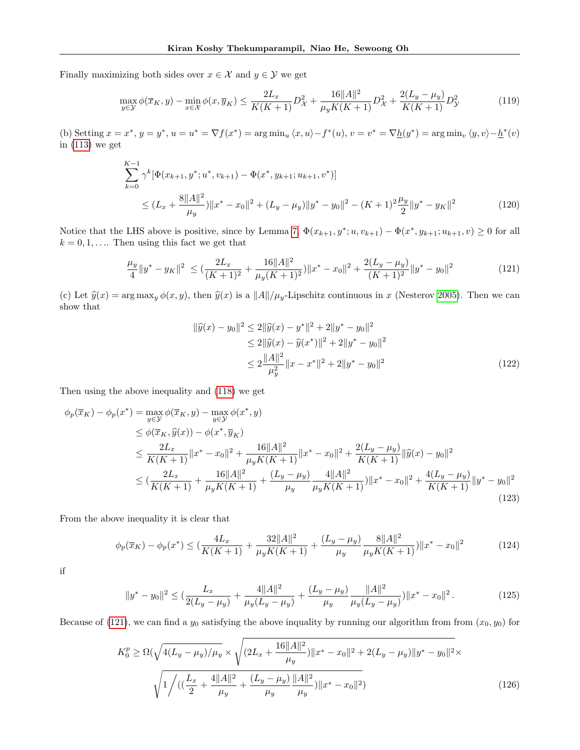Finally maximizing both sides over  $x \in \mathcal{X}$  and  $y \in \mathcal{Y}$  we get

$$
\max_{y \in \mathcal{Y}} \phi(\overline{x}_K, y) - \min_{x \in \mathcal{X}} \phi(x, \overline{y}_K) \le \frac{2L_x}{K(K+1)} D_{\mathcal{X}}^2 + \frac{16||A||^2}{\mu_y K(K+1)} D_{\mathcal{X}}^2 + \frac{2(L_y - \mu_y)}{K(K+1)} D_{\mathcal{Y}}^2
$$
(119)

(b) Setting  $x = x^*$ ,  $y = y^*$ ,  $u = u^* = \nabla f(x^*) = \arg \min_u \langle x, u \rangle - f^*(u)$ ,  $v = v^* = \nabla \underline{h}(y^*) = \arg \min_v \langle y, v \rangle - \underline{h}^*(v)$ in [\(113\)](#page-25-0) we get

$$
\sum_{k=0}^{K-1} \gamma^k [\Phi(x_{k+1}, y^*; u^*, v_{k+1}) - \Phi(x^*, y_{k+1}; u_{k+1}, v^*)]
$$
  
\n
$$
\leq (L_x + \frac{8||A||^2}{\mu_y}) ||x^* - x_0||^2 + (L_y - \mu_y) ||y^* - y_0||^2 - (K+1)^2 \frac{\mu_y}{2} ||y^* - y_K||^2
$$
\n(120)

Notice that the LHS above is positive, since by Lemma [7,](#page-13-0)  $\Phi(x_{k+1}, y^*; u, v_{k+1}) - \Phi(x^*, y_{k+1}; u_{k+1}, v) \ge 0$  for all  $k = 0, 1, \ldots$  Then using this fact we get that

$$
\frac{\mu_y}{4} \|y^* - y_K\|^2 \le \left(\frac{2L_x}{(K+1)^2} + \frac{16\|A\|^2}{\mu_y (K+1)^2}\right) \|x^* - x_0\|^2 + \frac{2(L_y - \mu_y)}{(K+1)^2} \|y^* - y_0\|^2 \tag{121}
$$

(c) Let  $\hat{y}(x) = \arg \max_{y} \phi(x, y)$ , then  $\hat{y}(x)$  is a  $||A||/\mu_y$ -Lipschitz continuous in x (Nesterov [2005\)](#page-9-7). Then we can show that

<span id="page-26-0"></span>
$$
\|\widehat{y}(x) - y_0\|^2 \le 2\|\widehat{y}(x) - y^*\|^2 + 2\|y^* - y_0\|^2
$$
  
\n
$$
\le 2\|\widehat{y}(x) - \widehat{y}(x^*)\|^2 + 2\|y^* - y_0\|^2
$$
  
\n
$$
\le 2\frac{\|A\|^2}{\mu_y^2} \|x - x^*\|^2 + 2\|y^* - y_0\|^2
$$
\n(122)

Then using the above inequality and [\(118\)](#page-25-3) we get

$$
\phi_p(\overline{x}_K) - \phi_p(x^*) = \max_{y \in \mathcal{Y}} \phi(\overline{x}_K, y) - \max_{y \in \mathcal{Y}} \phi(x^*, y)
$$
\n
$$
\leq \phi(\overline{x}_K, \widehat{y}(x)) - \phi(x^*, \overline{y}_K)
$$
\n
$$
\leq \frac{2L_x}{K(K+1)} \|x^* - x_0\|^2 + \frac{16\|A\|^2}{\mu_y K(K+1)} \|x^* - x_0\|^2 + \frac{2(L_y - \mu_y)}{K(K+1)} \|\widehat{y}(x) - y_0\|^2
$$
\n
$$
\leq (\frac{2L_x}{K(K+1)} + \frac{16\|A\|^2}{\mu_y K(K+1)} + \frac{(L_y - \mu_y)}{\mu_y} \frac{4\|A\|^2}{\mu_y K(K+1)}) \|x^* - x_0\|^2 + \frac{4(L_y - \mu_y)}{K(K+1)} \|y^* - y_0\|^2
$$
\n(123)

From the above inequality it is clear that

$$
\phi_p(\overline{x}_K) - \phi_p(x^*) \le \left(\frac{4L_x}{K(K+1)} + \frac{32\|A\|^2}{\mu_y K(K+1)} + \frac{(L_y - \mu_y)}{\mu_y} \frac{8\|A\|^2}{\mu_y K(K+1)}\right) \|x^* - x_0\|^2 \tag{124}
$$

if

$$
||y^* - y_0||^2 \le \left(\frac{L_x}{2(L_y - \mu_y)} + \frac{4||A||^2}{\mu_y(L_y - \mu_y)} + \frac{(L_y - \mu_y)}{\mu_y} \frac{||A||^2}{\mu_y(L_y - \mu_y)}\right)||x^* - x_0||^2. \tag{125}
$$

Because of [\(121\)](#page-26-0), we can find a  $y_0$  satisfying the above inquality by running our algorithm from from  $(x_0, y_0)$  for

$$
K_0^p \ge \Omega(\sqrt{4(L_y - \mu_y)/\mu_y} \times \sqrt{(2L_x + \frac{16||A||^2}{\mu_y})||x^* - x_0||^2 + 2(L_y - \mu_y)||y^* - y_0||^2} \times \sqrt{1/((\frac{L_x}{2} + \frac{4||A||^2}{\mu_y} + \frac{(L_y - \mu_y)}{\mu_y})||A||^2) ||x^* - x_0||^2})
$$
\n(126)